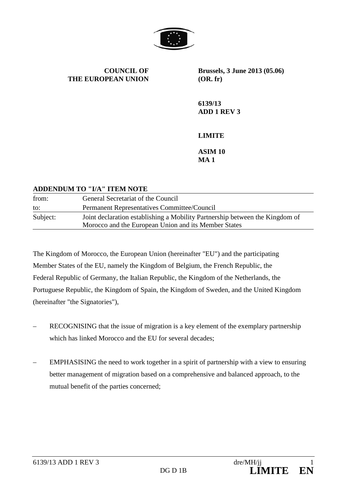

**COUNCIL OF THE EUROPEAN UNION** **Brussels, 3 June 2013 (05.06) (OR. fr)**

**6139/13 ADD 1 REV 3**

**LIMITE**

**ASIM 10 MA 1**

#### **ADDENDUM TO "I/A" ITEM NOTE**

| from:    | General Secretariat of the Council                                           |
|----------|------------------------------------------------------------------------------|
| to:      | Permanent Representatives Committee/Council                                  |
| Subject: | Joint declaration establishing a Mobility Partnership between the Kingdom of |
|          | Morocco and the European Union and its Member States                         |

The Kingdom of Morocco, the European Union (hereinafter "EU") and the participating Member States of the EU, namely the Kingdom of Belgium, the French Republic, the Federal Republic of Germany, the Italian Republic, the Kingdom of the Netherlands, the Portuguese Republic, the Kingdom of Spain, the Kingdom of Sweden, and the United Kingdom (hereinafter "the Signatories"),

- RECOGNISING that the issue of migration is a key element of the exemplary partnership which has linked Morocco and the EU for several decades;
- EMPHASISING the need to work together in a spirit of partnership with a view to ensuring better management of migration based on a comprehensive and balanced approach, to the mutual benefit of the parties concerned;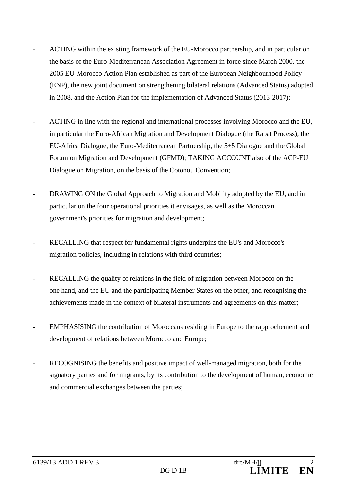- ACTING within the existing framework of the EU-Morocco partnership, and in particular on the basis of the Euro-Mediterranean Association Agreement in force since March 2000, the 2005 EU-Morocco Action Plan established as part of the European Neighbourhood Policy (ENP), the new joint document on strengthening bilateral relations (Advanced Status) adopted in 2008, and the Action Plan for the implementation of Advanced Status (2013-2017);
- ACTING in line with the regional and international processes involving Morocco and the EU, in particular the Euro-African Migration and Development Dialogue (the Rabat Process), the EU-Africa Dialogue, the Euro-Mediterranean Partnership, the 5+5 Dialogue and the Global Forum on Migration and Development (GFMD); TAKING ACCOUNT also of the ACP-EU Dialogue on Migration, on the basis of the Cotonou Convention;
- DRAWING ON the Global Approach to Migration and Mobility adopted by the EU, and in particular on the four operational priorities it envisages, as well as the Moroccan government's priorities for migration and development;
- RECALLING that respect for fundamental rights underpins the EU's and Morocco's migration policies, including in relations with third countries;
- RECALLING the quality of relations in the field of migration between Morocco on the one hand, and the EU and the participating Member States on the other, and recognising the achievements made in the context of bilateral instruments and agreements on this matter;
- EMPHASISING the contribution of Moroccans residing in Europe to the rapprochement and development of relations between Morocco and Europe;
- RECOGNISING the benefits and positive impact of well-managed migration, both for the signatory parties and for migrants, by its contribution to the development of human, economic and commercial exchanges between the parties;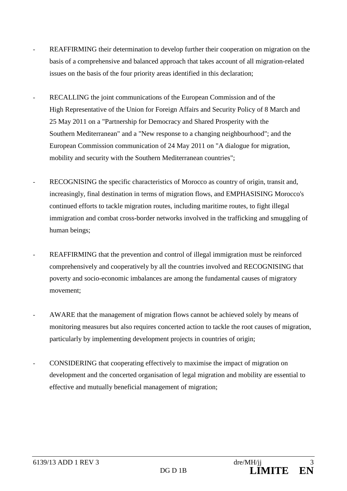- REAFFIRMING their determination to develop further their cooperation on migration on the basis of a comprehensive and balanced approach that takes account of all migration-related issues on the basis of the four priority areas identified in this declaration;
- RECALLING the joint communications of the European Commission and of the High Representative of the Union for Foreign Affairs and Security Policy of 8 March and 25 May 2011 on a "Partnership for Democracy and Shared Prosperity with the Southern Mediterranean" and a "New response to a changing neighbourhood"; and the European Commission communication of 24 May 2011 on "A dialogue for migration, mobility and security with the Southern Mediterranean countries";
- RECOGNISING the specific characteristics of Morocco as country of origin, transit and, increasingly, final destination in terms of migration flows, and EMPHASISING Morocco's continued efforts to tackle migration routes, including maritime routes, to fight illegal immigration and combat cross-border networks involved in the trafficking and smuggling of human beings;
- REAFFIRMING that the prevention and control of illegal immigration must be reinforced comprehensively and cooperatively by all the countries involved and RECOGNISING that poverty and socio-economic imbalances are among the fundamental causes of migratory movement;
- AWARE that the management of migration flows cannot be achieved solely by means of monitoring measures but also requires concerted action to tackle the root causes of migration, particularly by implementing development projects in countries of origin;
- CONSIDERING that cooperating effectively to maximise the impact of migration on development and the concerted organisation of legal migration and mobility are essential to effective and mutually beneficial management of migration;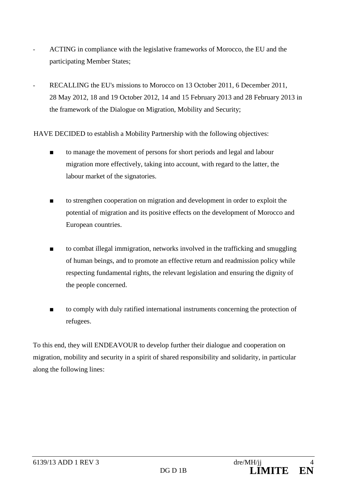- ACTING in compliance with the legislative frameworks of Morocco, the EU and the participating Member States;
- RECALLING the EU's missions to Morocco on 13 October 2011, 6 December 2011, 28 May 2012, 18 and 19 October 2012, 14 and 15 February 2013 and 28 February 2013 in the framework of the Dialogue on Migration, Mobility and Security;

HAVE DECIDED to establish a Mobility Partnership with the following objectives:

- to manage the movement of persons for short periods and legal and labour migration more effectively, taking into account, with regard to the latter, the labour market of the signatories.
- to strengthen cooperation on migration and development in order to exploit the potential of migration and its positive effects on the development of Morocco and European countries.
- to combat illegal immigration, networks involved in the trafficking and smuggling of human beings, and to promote an effective return and readmission policy while respecting fundamental rights, the relevant legislation and ensuring the dignity of the people concerned.
- to comply with duly ratified international instruments concerning the protection of refugees.

To this end, they will ENDEAVOUR to develop further their dialogue and cooperation on migration, mobility and security in a spirit of shared responsibility and solidarity, in particular along the following lines: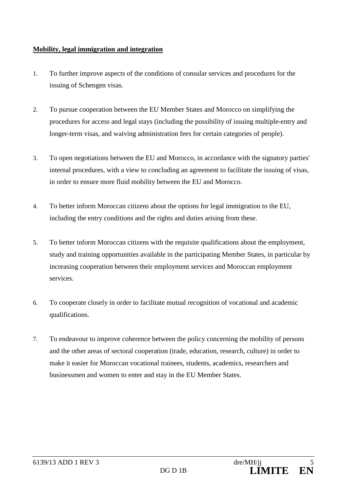## **Mobility, legal immigration and integration**

- 1. To further improve aspects of the conditions of consular services and procedures for the issuing of Schengen visas.
- 2. To pursue cooperation between the EU Member States and Morocco on simplifying the procedures for access and legal stays (including the possibility of issuing multiple-entry and longer-term visas, and waiving administration fees for certain categories of people).
- 3. To open negotiations between the EU and Morocco, in accordance with the signatory parties' internal procedures, with a view to concluding an agreement to facilitate the issuing of visas, in order to ensure more fluid mobility between the EU and Morocco.
- 4. To better inform Moroccan citizens about the options for legal immigration to the EU, including the entry conditions and the rights and duties arising from these.
- 5. To better inform Moroccan citizens with the requisite qualifications about the employment, study and training opportunities available in the participating Member States, in particular by increasing cooperation between their employment services and Moroccan employment services.
- 6. To cooperate closely in order to facilitate mutual recognition of vocational and academic qualifications.
- 7. To endeavour to improve coherence between the policy concerning the mobility of persons and the other areas of sectoral cooperation (trade, education, research, culture) in order to make it easier for Moroccan vocational trainees, students, academics, researchers and businessmen and women to enter and stay in the EU Member States.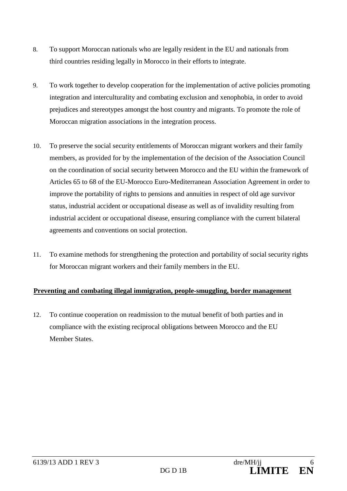- 8. To support Moroccan nationals who are legally resident in the EU and nationals from third countries residing legally in Morocco in their efforts to integrate.
- 9. To work together to develop cooperation for the implementation of active policies promoting integration and interculturality and combating exclusion and xenophobia, in order to avoid prejudices and stereotypes amongst the host country and migrants. To promote the role of Moroccan migration associations in the integration process.
- 10. To preserve the social security entitlements of Moroccan migrant workers and their family members, as provided for by the implementation of the decision of the Association Council on the coordination of social security between Morocco and the EU within the framework of Articles 65 to 68 of the EU-Morocco Euro-Mediterranean Association Agreement in order to improve the portability of rights to pensions and annuities in respect of old age survivor status, industrial accident or occupational disease as well as of invalidity resulting from industrial accident or occupational disease, ensuring compliance with the current bilateral agreements and conventions on social protection.
- 11. To examine methods for strengthening the protection and portability of social security rights for Moroccan migrant workers and their family members in the EU.

## **Preventing and combating illegal immigration, people-smuggling, border management**

12. To continue cooperation on readmission to the mutual benefit of both parties and in compliance with the existing reciprocal obligations between Morocco and the EU Member States.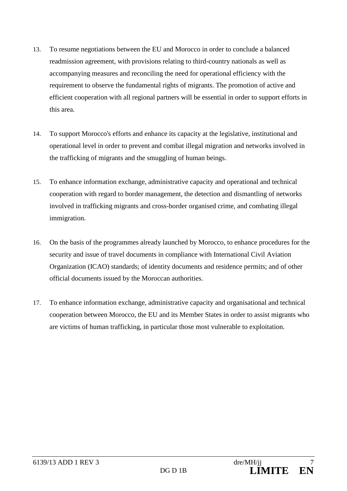- 13. To resume negotiations between the EU and Morocco in order to conclude a balanced readmission agreement, with provisions relating to third-country nationals as well as accompanying measures and reconciling the need for operational efficiency with the requirement to observe the fundamental rights of migrants. The promotion of active and efficient cooperation with all regional partners will be essential in order to support efforts in this area.
- 14. To support Morocco's efforts and enhance its capacity at the legislative, institutional and operational level in order to prevent and combat illegal migration and networks involved in the trafficking of migrants and the smuggling of human beings.
- 15. To enhance information exchange, administrative capacity and operational and technical cooperation with regard to border management, the detection and dismantling of networks involved in trafficking migrants and cross-border organised crime, and combating illegal immigration.
- 16. On the basis of the programmes already launched by Morocco, to enhance procedures for the security and issue of travel documents in compliance with International Civil Aviation Organization (ICAO) standards; of identity documents and residence permits; and of other official documents issued by the Moroccan authorities.
- 17. To enhance information exchange, administrative capacity and organisational and technical cooperation between Morocco, the EU and its Member States in order to assist migrants who are victims of human trafficking, in particular those most vulnerable to exploitation.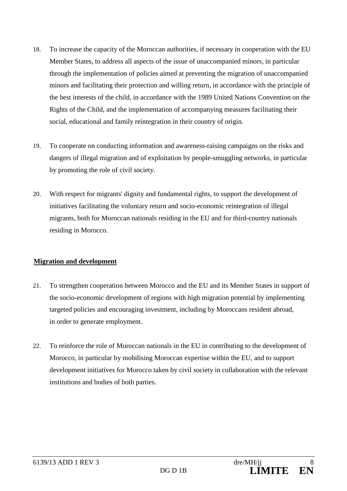- 18. To increase the capacity of the Moroccan authorities, if necessary in cooperation with the EU Member States, to address all aspects of the issue of unaccompanied minors, in particular through the implementation of policies aimed at preventing the migration of unaccompanied minors and facilitating their protection and willing return, in accordance with the principle of the best interests of the child, in accordance with the 1989 United Nations Convention on the Rights of the Child, and the implementation of accompanying measures facilitating their social, educational and family reintegration in their country of origin.
- 19. To cooperate on conducting information and awareness-raising campaigns on the risks and dangers of illegal migration and of exploitation by people-smuggling networks, in particular by promoting the role of civil society.
- 20. With respect for migrants' dignity and fundamental rights, to support the development of initiatives facilitating the voluntary return and socio-economic reintegration of illegal migrants, both for Moroccan nationals residing in the EU and for third-country nationals residing in Morocco.

## **Migration and development**

- 21. To strengthen cooperation between Morocco and the EU and its Member States in support of the socio-economic development of regions with high migration potential by implementing targeted policies and encouraging investment, including by Moroccans resident abroad, in order to generate employment.
- 22. To reinforce the role of Moroccan nationals in the EU in contributing to the development of Morocco, in particular by mobilising Moroccan expertise within the EU, and to support development initiatives for Morocco taken by civil society in collaboration with the relevant institutions and bodies of both parties.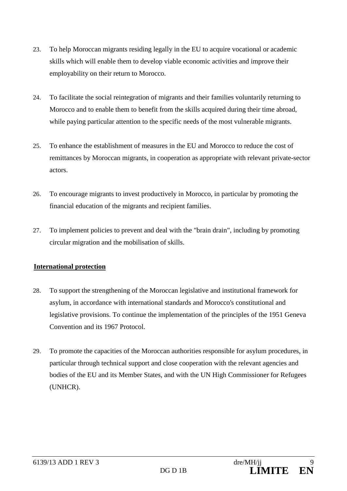- 23. To help Moroccan migrants residing legally in the EU to acquire vocational or academic skills which will enable them to develop viable economic activities and improve their employability on their return to Morocco.
- 24. To facilitate the social reintegration of migrants and their families voluntarily returning to Morocco and to enable them to benefit from the skills acquired during their time abroad, while paying particular attention to the specific needs of the most vulnerable migrants.
- 25. To enhance the establishment of measures in the EU and Morocco to reduce the cost of remittances by Moroccan migrants, in cooperation as appropriate with relevant private-sector actors.
- 26. To encourage migrants to invest productively in Morocco, in particular by promoting the financial education of the migrants and recipient families.
- 27. To implement policies to prevent and deal with the "brain drain", including by promoting circular migration and the mobilisation of skills.

## **International protection**

- 28. To support the strengthening of the Moroccan legislative and institutional framework for asylum, in accordance with international standards and Morocco's constitutional and legislative provisions. To continue the implementation of the principles of the 1951 Geneva Convention and its 1967 Protocol.
- 29. To promote the capacities of the Moroccan authorities responsible for asylum procedures, in particular through technical support and close cooperation with the relevant agencies and bodies of the EU and its Member States, and with the UN High Commissioner for Refugees (UNHCR).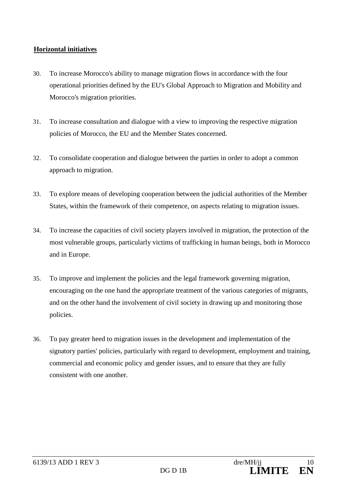## **Horizontal initiatives**

- 30. To increase Morocco's ability to manage migration flows in accordance with the four operational priorities defined by the EU's Global Approach to Migration and Mobility and Morocco's migration priorities.
- 31. To increase consultation and dialogue with a view to improving the respective migration policies of Morocco, the EU and the Member States concerned.
- 32. To consolidate cooperation and dialogue between the parties in order to adopt a common approach to migration.
- 33. To explore means of developing cooperation between the judicial authorities of the Member States, within the framework of their competence, on aspects relating to migration issues.
- 34. To increase the capacities of civil society players involved in migration, the protection of the most vulnerable groups, particularly victims of trafficking in human beings, both in Morocco and in Europe.
- 35. To improve and implement the policies and the legal framework governing migration, encouraging on the one hand the appropriate treatment of the various categories of migrants, and on the other hand the involvement of civil society in drawing up and monitoring those policies.
- 36. To pay greater heed to migration issues in the development and implementation of the signatory parties' policies, particularly with regard to development, employment and training, commercial and economic policy and gender issues, and to ensure that they are fully consistent with one another.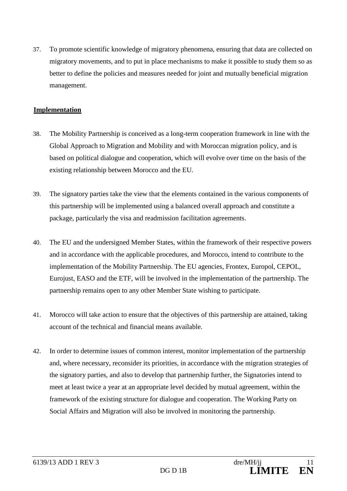37. To promote scientific knowledge of migratory phenomena, ensuring that data are collected on migratory movements, and to put in place mechanisms to make it possible to study them so as better to define the policies and measures needed for joint and mutually beneficial migration management.

#### **Implementation**

- 38. The Mobility Partnership is conceived as a long-term cooperation framework in line with the Global Approach to Migration and Mobility and with Moroccan migration policy, and is based on political dialogue and cooperation, which will evolve over time on the basis of the existing relationship between Morocco and the EU.
- 39. The signatory parties take the view that the elements contained in the various components of this partnership will be implemented using a balanced overall approach and constitute a package, particularly the visa and readmission facilitation agreements.
- 40. The EU and the undersigned Member States, within the framework of their respective powers and in accordance with the applicable procedures, and Morocco, intend to contribute to the implementation of the Mobility Partnership. The EU agencies, Frontex, Europol, CEPOL, Eurojust, EASO and the ETF, will be involved in the implementation of the partnership. The partnership remains open to any other Member State wishing to participate.
- 41. Morocco will take action to ensure that the objectives of this partnership are attained, taking account of the technical and financial means available.
- 42. In order to determine issues of common interest, monitor implementation of the partnership and, where necessary, reconsider its priorities, in accordance with the migration strategies of the signatory parties, and also to develop that partnership further, the Signatories intend to meet at least twice a year at an appropriate level decided by mutual agreement, within the framework of the existing structure for dialogue and cooperation. The Working Party on Social Affairs and Migration will also be involved in monitoring the partnership.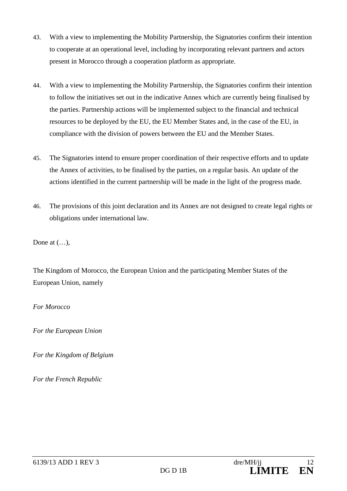- 43. With a view to implementing the Mobility Partnership, the Signatories confirm their intention to cooperate at an operational level, including by incorporating relevant partners and actors present in Morocco through a cooperation platform as appropriate.
- 44. With a view to implementing the Mobility Partnership, the Signatories confirm their intention to follow the initiatives set out in the indicative Annex which are currently being finalised by the parties. Partnership actions will be implemented subject to the financial and technical resources to be deployed by the EU, the EU Member States and, in the case of the EU, in compliance with the division of powers between the EU and the Member States.
- 45. The Signatories intend to ensure proper coordination of their respective efforts and to update the Annex of activities, to be finalised by the parties, on a regular basis. An update of the actions identified in the current partnership will be made in the light of the progress made.
- 46. The provisions of this joint declaration and its Annex are not designed to create legal rights or obligations under international law.

Done at  $(...)$ ,

The Kingdom of Morocco, the European Union and the participating Member States of the European Union, namely

#### *For Morocco*

*For the European Union*

*For the Kingdom of Belgium*

*For the French Republic*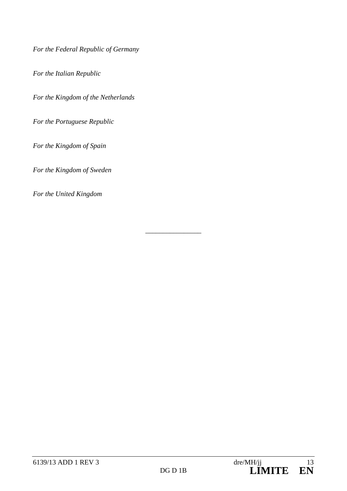*For the Federal Republic of Germany*

*For the Italian Republic*

*For the Kingdom of the Netherlands*

*For the Portuguese Republic*

*For the Kingdom of Spain*

*For the Kingdom of Sweden*

*For the United Kingdom*

\_\_\_\_\_\_\_\_\_\_\_\_\_\_\_\_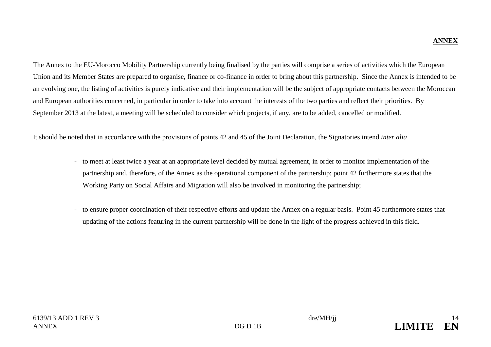# **ANNEX**

The Annex to the EU-Morocco Mobility Partnership currently being finalised by the parties will comprise a series of activities which the European Union and its Member States are prepared to organise, finance or co-finance in order to bring about this partnership. Since the Annex is intended to be an evolving one, the listing of activities is purely indicative and their implementation will be the subject of appropriate contacts between the Moroccan and European authorities concerned, in particular in order to take into account the interests of the two parties and reflect their priorities. By September 2013 at the latest, a meeting will be scheduled to consider which projects, if any, are to be added, cancelled or modified.

It should be noted that in accordance with the provisions of points 42 and 45 of the Joint Declaration, the Signatories intend *inter alia*

- to meet at least twice a year at an appropriate level decided by mutual agreement, in order to monitor implementation of the partnership and, therefore, of the Annex as the operational component of the partnership; point 42 furthermore states that the Working Party on Social Affairs and Migration will also be involved in monitoring the partnership;
- to ensure proper coordination of their respective efforts and update the Annex on a regular basis. Point 45 furthermore states that updating of the actions featuring in the current partnership will be done in the light of the progress achieved in this field.

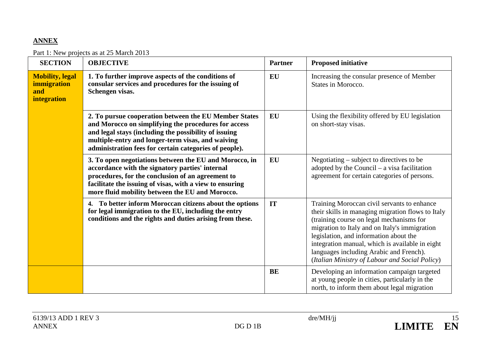# **ANNEX**

### Part 1: New projects as at 25 March 2013

| <b>SECTION</b>                                              | <b>OBJECTIVE</b>                                                                                                                                                                                                                                                                      | <b>Partner</b> | <b>Proposed initiative</b>                                                                                                                                                                                                                                                                                                                                                              |
|-------------------------------------------------------------|---------------------------------------------------------------------------------------------------------------------------------------------------------------------------------------------------------------------------------------------------------------------------------------|----------------|-----------------------------------------------------------------------------------------------------------------------------------------------------------------------------------------------------------------------------------------------------------------------------------------------------------------------------------------------------------------------------------------|
| <b>Mobility, legal</b><br>immigration<br>and<br>integration | 1. To further improve aspects of the conditions of<br>consular services and procedures for the issuing of<br>Schengen visas.                                                                                                                                                          | EU             | Increasing the consular presence of Member<br>States in Morocco.                                                                                                                                                                                                                                                                                                                        |
|                                                             | 2. To pursue cooperation between the EU Member States<br>and Morocco on simplifying the procedures for access<br>and legal stays (including the possibility of issuing<br>multiple-entry and longer-term visas, and waiving<br>administration fees for certain categories of people). | EU             | Using the flexibility offered by EU legislation<br>on short-stay visas.                                                                                                                                                                                                                                                                                                                 |
|                                                             | 3. To open negotiations between the EU and Morocco, in<br>accordance with the signatory parties' internal<br>procedures, for the conclusion of an agreement to<br>facilitate the issuing of visas, with a view to ensuring<br>more fluid mobility between the EU and Morocco.         | <b>EU</b>      | Negotiating $-$ subject to directives to be<br>adopted by the Council $-$ a visa facilitation<br>agreement for certain categories of persons.                                                                                                                                                                                                                                           |
|                                                             | 4. To better inform Moroccan citizens about the options<br>for legal immigration to the EU, including the entry<br>conditions and the rights and duties arising from these.                                                                                                           | IT             | Training Moroccan civil servants to enhance<br>their skills in managing migration flows to Italy<br>(training course on legal mechanisms for<br>migration to Italy and on Italy's immigration<br>legislation, and information about the<br>integration manual, which is available in eight<br>languages including Arabic and French).<br>(Italian Ministry of Labour and Social Policy) |
|                                                             |                                                                                                                                                                                                                                                                                       | <b>BE</b>      | Developing an information campaign targeted<br>at young people in cities, particularly in the<br>north, to inform them about legal migration                                                                                                                                                                                                                                            |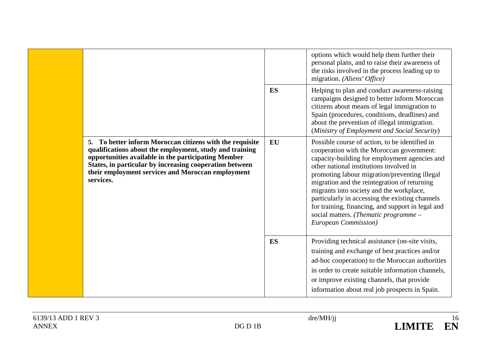|                                                                                                                                                                                                                                                                                                         | ES | options which would help them further their<br>personal plans, and to raise their awareness of<br>the risks involved in the process leading up to<br>migration. (Aliens' Office)<br>Helping to plan and conduct awareness-raising<br>campaigns designed to better inform Moroccan<br>citizens about means of legal immigration to<br>Spain (procedures, conditions, deadlines) and<br>about the prevention of illegal immigration.<br>(Ministry of Employment and Social Security)                            |
|---------------------------------------------------------------------------------------------------------------------------------------------------------------------------------------------------------------------------------------------------------------------------------------------------------|----|---------------------------------------------------------------------------------------------------------------------------------------------------------------------------------------------------------------------------------------------------------------------------------------------------------------------------------------------------------------------------------------------------------------------------------------------------------------------------------------------------------------|
| 5. To better inform Moroccan citizens with the requisite<br>qualifications about the employment, study and training<br>opportunities available in the participating Member<br>States, in particular by increasing cooperation between<br>their employment services and Moroccan employment<br>services. | EU | Possible course of action, to be identified in<br>cooperation with the Moroccan government:<br>capacity-building for employment agencies and<br>other national institutions involved in<br>promoting labour migration/preventing illegal<br>migration and the reintegration of returning<br>migrants into society and the workplace,<br>particularly in accessing the existing channels<br>for training, financing, and support in legal and<br>social matters. (Thematic programme -<br>European Commission) |
|                                                                                                                                                                                                                                                                                                         | ES | Providing technical assistance (on-site visits,<br>training and exchange of best practices and/or<br>ad-hoc cooperation) to the Moroccan authorities<br>in order to create suitable information channels,<br>or improve existing channels, that provide<br>information about real job prospects in Spain.                                                                                                                                                                                                     |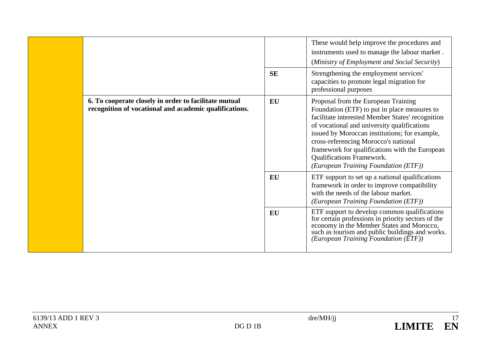|  |                                                                                                                 |           | These would help improve the procedures and<br>instruments used to manage the labour market.<br>(Ministry of Employment and Social Security)                                                                                                                                                                                                                                                           |
|--|-----------------------------------------------------------------------------------------------------------------|-----------|--------------------------------------------------------------------------------------------------------------------------------------------------------------------------------------------------------------------------------------------------------------------------------------------------------------------------------------------------------------------------------------------------------|
|  |                                                                                                                 | <b>SE</b> | Strengthening the employment services'<br>capacities to promote legal migration for<br>professional purposes                                                                                                                                                                                                                                                                                           |
|  | 6. To cooperate closely in order to facilitate mutual<br>recognition of vocational and academic qualifications. | EU        | Proposal from the European Training<br>Foundation (ETF) to put in place measures to<br>facilitate interested Member States' recognition<br>of vocational and university qualifications<br>issued by Moroccan institutions; for example,<br>cross-referencing Morocco's national<br>framework for qualifications with the European<br>Qualifications Framework.<br>(European Training Foundation (ETF)) |
|  |                                                                                                                 | <b>EU</b> | ETF support to set up a national qualifications<br>framework in order to improve compatibility<br>with the needs of the labour market.<br>(European Training Foundation (ETF))                                                                                                                                                                                                                         |
|  |                                                                                                                 | EU        | ETF support to develop common qualifications<br>for certain professions in priority sectors of the<br>economy in the Member States and Morocco,<br>such as tourism and public buildings and works.<br>(European Training Foundation $(\overline{ETF})$ )                                                                                                                                               |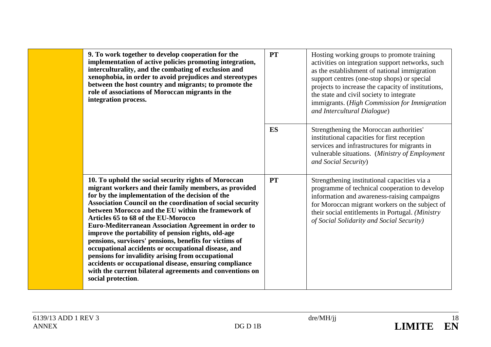| 9. To work together to develop cooperation for the<br>implementation of active policies promoting integration,<br>interculturality, and the combating of exclusion and<br>xenophobia, in order to avoid prejudices and stereotypes<br>between the host country and migrants; to promote the<br>role of associations of Moroccan migrants in the<br>integration process.                                                                                                                                                                                                                                                                                                                                                                                      | <b>PT</b> | Hosting working groups to promote training<br>activities on integration support networks, such<br>as the establishment of national immigration<br>support centres (one-stop shops) or special<br>projects to increase the capacity of institutions,<br>the state and civil society to integrate<br>immigrants. (High Commission for Immigration<br>and Intercultural Dialogue) |
|--------------------------------------------------------------------------------------------------------------------------------------------------------------------------------------------------------------------------------------------------------------------------------------------------------------------------------------------------------------------------------------------------------------------------------------------------------------------------------------------------------------------------------------------------------------------------------------------------------------------------------------------------------------------------------------------------------------------------------------------------------------|-----------|--------------------------------------------------------------------------------------------------------------------------------------------------------------------------------------------------------------------------------------------------------------------------------------------------------------------------------------------------------------------------------|
|                                                                                                                                                                                                                                                                                                                                                                                                                                                                                                                                                                                                                                                                                                                                                              | ES        | Strengthening the Moroccan authorities'<br>institutional capacities for first reception<br>services and infrastructures for migrants in<br>vulnerable situations. (Ministry of Employment<br>and Social Security)                                                                                                                                                              |
| 10. To uphold the social security rights of Moroccan<br>migrant workers and their family members, as provided<br>for by the implementation of the decision of the<br>Association Council on the coordination of social security<br>between Morocco and the EU within the framework of<br>Articles 65 to 68 of the EU-Morocco<br>Euro-Mediterranean Association Agreement in order to<br>improve the portability of pension rights, old-age<br>pensions, survisors' pensions, benefits for victims of<br>occupational accidents or occupational disease, and<br>pensions for invalidity arising from occupational<br>accidents or occupational disease, ensuring compliance<br>with the current bilateral agreements and conventions on<br>social protection. | <b>PT</b> | Strengthening institutional capacities via a<br>programme of technical cooperation to develop<br>information and awareness-raising campaigns<br>for Moroccan migrant workers on the subject of<br>their social entitlements in Portugal. (Ministry<br>of Social Solidarity and Social Security)                                                                                |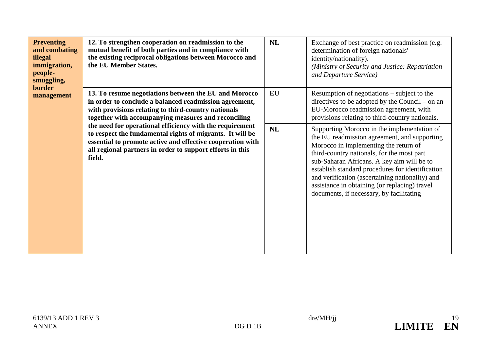| <b>Preventing</b><br>and combating<br>illegal<br>immigration,<br>people-<br>smuggling,<br><b>border</b><br>management | 12. To strengthen cooperation on readmission to the<br>mutual benefit of both parties and in compliance with<br>the existing reciprocal obligations between Morocco and<br>the EU Member States.                                                                                                                                                                                                                                                                                            | NL | Exchange of best practice on readmission (e.g.<br>determination of foreign nationals'<br>identity/nationality).<br>(Ministry of Security and Justice: Repatriation<br>and Departure Service)                                                                                                                                                                                                                                         |
|-----------------------------------------------------------------------------------------------------------------------|---------------------------------------------------------------------------------------------------------------------------------------------------------------------------------------------------------------------------------------------------------------------------------------------------------------------------------------------------------------------------------------------------------------------------------------------------------------------------------------------|----|--------------------------------------------------------------------------------------------------------------------------------------------------------------------------------------------------------------------------------------------------------------------------------------------------------------------------------------------------------------------------------------------------------------------------------------|
|                                                                                                                       | 13. To resume negotiations between the EU and Morocco<br>in order to conclude a balanced readmission agreement,<br>with provisions relating to third-country nationals<br>together with accompanying measures and reconciling<br>the need for operational efficiency with the requirement<br>to respect the fundamental rights of migrants. It will be<br>essential to promote active and effective cooperation with<br>all regional partners in order to support efforts in this<br>field. | EU | Resumption of negotiations – subject to the<br>directives to be adopted by the Council – on an<br>EU-Morocco readmission agreement, with<br>provisions relating to third-country nationals.                                                                                                                                                                                                                                          |
|                                                                                                                       |                                                                                                                                                                                                                                                                                                                                                                                                                                                                                             | NL | Supporting Morocco in the implementation of<br>the EU readmission agreement, and supporting<br>Morocco in implementing the return of<br>third-country nationals, for the most part<br>sub-Saharan Africans. A key aim will be to<br>establish standard procedures for identification<br>and verification (ascertaining nationality) and<br>assistance in obtaining (or replacing) travel<br>documents, if necessary, by facilitating |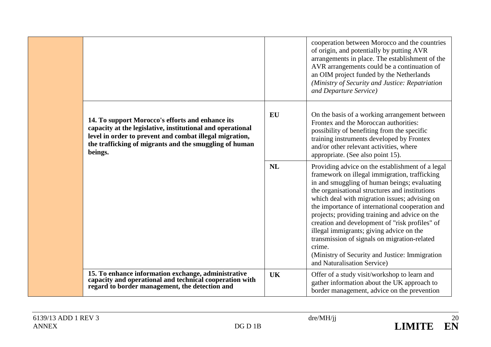|                                                                                                                                                                                                                                                |           | cooperation between Morocco and the countries<br>of origin, and potentially by putting AVR<br>arrangements in place. The establishment of the<br>AVR arrangements could be a continuation of<br>an OIM project funded by the Netherlands<br>(Ministry of Security and Justice: Repatriation<br>and Departure Service)                                                                                                                                                                                                                                                                               |
|------------------------------------------------------------------------------------------------------------------------------------------------------------------------------------------------------------------------------------------------|-----------|-----------------------------------------------------------------------------------------------------------------------------------------------------------------------------------------------------------------------------------------------------------------------------------------------------------------------------------------------------------------------------------------------------------------------------------------------------------------------------------------------------------------------------------------------------------------------------------------------------|
| 14. To support Morocco's efforts and enhance its<br>capacity at the legislative, institutional and operational<br>level in order to prevent and combat illegal migration,<br>the trafficking of migrants and the smuggling of human<br>beings. | EU        | On the basis of a working arrangement between<br>Frontex and the Moroccan authorities:<br>possibility of benefiting from the specific<br>training instruments developed by Frontex<br>and/or other relevant activities, where<br>appropriate. (See also point 15).                                                                                                                                                                                                                                                                                                                                  |
|                                                                                                                                                                                                                                                | <b>NL</b> | Providing advice on the establishment of a legal<br>framework on illegal immigration, trafficking<br>in and smuggling of human beings; evaluating<br>the organisational structures and institutions<br>which deal with migration issues; advising on<br>the importance of international cooperation and<br>projects; providing training and advice on the<br>creation and development of "risk profiles" of<br>illegal immigrants; giving advice on the<br>transmission of signals on migration-related<br>crime.<br>(Ministry of Security and Justice: Immigration)<br>and Naturalisation Service) |
| 15. To enhance information exchange, administrative<br>capacity and operational and technical cooperation with<br>regard to border management, the detection and                                                                               | <b>UK</b> | Offer of a study visit/workshop to learn and<br>gather information about the UK approach to<br>border management, advice on the prevention                                                                                                                                                                                                                                                                                                                                                                                                                                                          |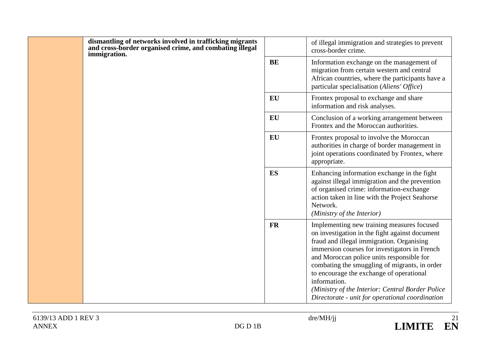|  | dismantling of networks involved in trafficking migrants<br>and cross-border organised crime, and combating illegal<br>immigration. |           | of illegal immigration and strategies to prevent<br>cross-border crime.                                                                                                                                                                                                                                                                                                                                                                                      |
|--|-------------------------------------------------------------------------------------------------------------------------------------|-----------|--------------------------------------------------------------------------------------------------------------------------------------------------------------------------------------------------------------------------------------------------------------------------------------------------------------------------------------------------------------------------------------------------------------------------------------------------------------|
|  |                                                                                                                                     | <b>BE</b> | Information exchange on the management of<br>migration from certain western and central<br>African countries, where the participants have a<br>particular specialisation (Aliens' Office)                                                                                                                                                                                                                                                                    |
|  |                                                                                                                                     | EU        | Frontex proposal to exchange and share<br>information and risk analyses.                                                                                                                                                                                                                                                                                                                                                                                     |
|  |                                                                                                                                     | EU        | Conclusion of a working arrangement between<br>Frontex and the Moroccan authorities.                                                                                                                                                                                                                                                                                                                                                                         |
|  |                                                                                                                                     | EU        | Frontex proposal to involve the Moroccan<br>authorities in charge of border management in<br>joint operations coordinated by Frontex, where<br>appropriate.                                                                                                                                                                                                                                                                                                  |
|  |                                                                                                                                     | ES        | Enhancing information exchange in the fight<br>against illegal immigration and the prevention<br>of organised crime: information-exchange<br>action taken in line with the Project Seahorse<br>Network.<br>(Ministry of the Interior)                                                                                                                                                                                                                        |
|  |                                                                                                                                     | <b>FR</b> | Implementing new training measures focused<br>on investigation in the fight against document<br>fraud and illegal immigration. Organising<br>immersion courses for investigators in French<br>and Moroccan police units responsible for<br>combating the smuggling of migrants, in order<br>to encourage the exchange of operational<br>information.<br>(Ministry of the Interior: Central Border Police)<br>Directorate - unit for operational coordination |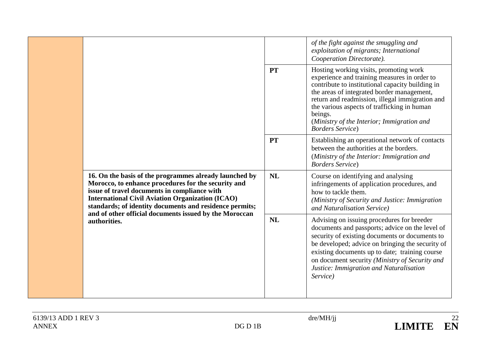| 16. On the basis of the programmes already launched by<br>Morocco, to enhance procedures for the security and<br>issue of travel documents in compliance with<br><b>International Civil Aviation Organization (ICAO)</b><br>standards; of identity documents and residence permits; |           | of the fight against the smuggling and<br>exploitation of migrants; International<br>Cooperation Directorate).                                                                                                                                                                                                                                                                  |
|-------------------------------------------------------------------------------------------------------------------------------------------------------------------------------------------------------------------------------------------------------------------------------------|-----------|---------------------------------------------------------------------------------------------------------------------------------------------------------------------------------------------------------------------------------------------------------------------------------------------------------------------------------------------------------------------------------|
|                                                                                                                                                                                                                                                                                     | <b>PT</b> | Hosting working visits, promoting work<br>experience and training measures in order to<br>contribute to institutional capacity building in<br>the areas of integrated border management,<br>return and readmission, illegal immigration and<br>the various aspects of trafficking in human<br>beings.<br>(Ministry of the Interior; Immigration and<br><b>Borders Service</b> ) |
|                                                                                                                                                                                                                                                                                     | <b>PT</b> | Establishing an operational network of contacts<br>between the authorities at the borders.<br>(Ministry of the Interior: Immigration and<br><b>Borders Service</b> )                                                                                                                                                                                                            |
|                                                                                                                                                                                                                                                                                     | <b>NL</b> | Course on identifying and analysing<br>infringements of application procedures, and<br>how to tackle them.<br>(Ministry of Security and Justice: Immigration<br>and Naturalisation Service)                                                                                                                                                                                     |
| and of other official documents issued by the Moroccan<br>authorities.                                                                                                                                                                                                              | <b>NL</b> | Advising on issuing procedures for breeder<br>documents and passports; advice on the level of<br>security of existing documents or documents to<br>be developed; advice on bringing the security of<br>existing documents up to date; training course<br>on document security (Ministry of Security and<br>Justice: Immigration and Naturalisation<br>Service)                  |

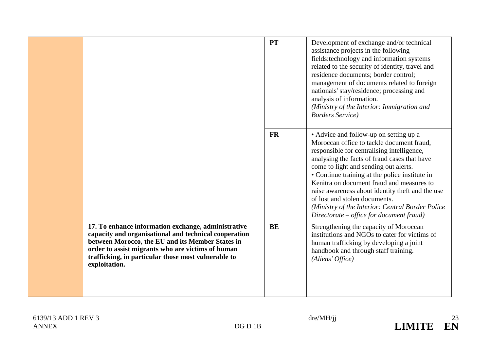|  |                                                                                                                                                                                                                                                                                               | <b>PT</b> | Development of exchange and/or technical<br>assistance projects in the following<br>fields:technology and information systems<br>related to the security of identity, travel and<br>residence documents; border control;<br>management of documents related to foreign<br>nationals' stay/residence; processing and<br>analysis of information.<br>(Ministry of the Interior: Immigration and<br><b>Borders Service</b> )                                                                                      |
|--|-----------------------------------------------------------------------------------------------------------------------------------------------------------------------------------------------------------------------------------------------------------------------------------------------|-----------|----------------------------------------------------------------------------------------------------------------------------------------------------------------------------------------------------------------------------------------------------------------------------------------------------------------------------------------------------------------------------------------------------------------------------------------------------------------------------------------------------------------|
|  |                                                                                                                                                                                                                                                                                               | <b>FR</b> | • Advice and follow-up on setting up a<br>Moroccan office to tackle document fraud,<br>responsible for centralising intelligence,<br>analysing the facts of fraud cases that have<br>come to light and sending out alerts.<br>• Continue training at the police institute in<br>Kenitra on document fraud and measures to<br>raise awareness about identity theft and the use<br>of lost and stolen documents.<br>(Ministry of the Interior: Central Border Police<br>Directorate – office for document fraud) |
|  | 17. To enhance information exchange, administrative<br>capacity and organisational and technical cooperation<br>between Morocco, the EU and its Member States in<br>order to assist migrants who are victims of human<br>trafficking, in particular those most vulnerable to<br>exploitation. | <b>BE</b> | Strengthening the capacity of Moroccan<br>institutions and NGOs to cater for victims of<br>human trafficking by developing a joint<br>handbook and through staff training.<br>(Aliens' Office)                                                                                                                                                                                                                                                                                                                 |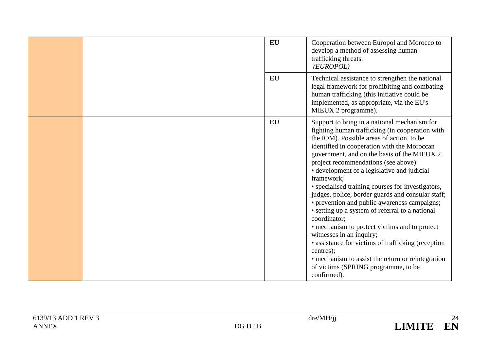|  | <b>EU</b><br><b>EU</b> | Cooperation between Europol and Morocco to<br>develop a method of assessing human-<br>trafficking threats.<br>(EUROPOL)<br>Technical assistance to strengthen the national<br>legal framework for prohibiting and combating<br>human trafficking (this initiative could be                                                                                                                                                                                                                                                                                                                                                                                                                                                                                                                                                              |
|--|------------------------|-----------------------------------------------------------------------------------------------------------------------------------------------------------------------------------------------------------------------------------------------------------------------------------------------------------------------------------------------------------------------------------------------------------------------------------------------------------------------------------------------------------------------------------------------------------------------------------------------------------------------------------------------------------------------------------------------------------------------------------------------------------------------------------------------------------------------------------------|
|  |                        | implemented, as appropriate, via the EU's<br>MIEUX 2 programme).                                                                                                                                                                                                                                                                                                                                                                                                                                                                                                                                                                                                                                                                                                                                                                        |
|  | EU                     | Support to bring in a national mechanism for<br>fighting human trafficking (in cooperation with<br>the IOM). Possible areas of action, to be<br>identified in cooperation with the Moroccan<br>government, and on the basis of the MIEUX 2<br>project recommendations (see above):<br>• development of a legislative and judicial<br>framework;<br>• specialised training courses for investigators,<br>judges, police, border guards and consular staff;<br>• prevention and public awareness campaigns;<br>• setting up a system of referral to a national<br>coordinator;<br>• mechanism to protect victims and to protect<br>witnesses in an inquiry;<br>• assistance for victims of trafficking (reception<br>centres);<br>• mechanism to assist the return or reintegration<br>of victims (SPRING programme, to be<br>confirmed). |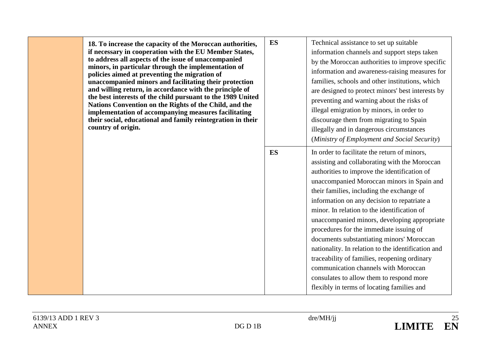| 18. To increase the capacity of the Moroccan authorities,<br>if necessary in cooperation with the EU Member States,<br>to address all aspects of the issue of unaccompanied<br>minors, in particular through the implementation of<br>policies aimed at preventing the migration of<br>unaccompanied minors and facilitating their protection<br>and willing return, in accordance with the principle of<br>the best interests of the child pursuant to the 1989 United<br>Nations Convention on the Rights of the Child, and the<br>implementation of accompanying measures facilitating<br>their social, educational and family reintegration in their<br>country of origin. | <b>ES</b> | Technical assistance to set up suitable<br>information channels and support steps taken<br>by the Moroccan authorities to improve specific<br>information and awareness-raising measures for<br>families, schools and other institutions, which<br>are designed to protect minors' best interests by<br>preventing and warning about the risks of<br>illegal emigration by minors, in order to<br>discourage them from migrating to Spain<br>illegally and in dangerous circumstances<br>(Ministry of Employment and Social Security) |                                                                                                                                                                                                                                                                                                                                                                                                                                                                                                                                                                                                                                                                                                                        |
|--------------------------------------------------------------------------------------------------------------------------------------------------------------------------------------------------------------------------------------------------------------------------------------------------------------------------------------------------------------------------------------------------------------------------------------------------------------------------------------------------------------------------------------------------------------------------------------------------------------------------------------------------------------------------------|-----------|---------------------------------------------------------------------------------------------------------------------------------------------------------------------------------------------------------------------------------------------------------------------------------------------------------------------------------------------------------------------------------------------------------------------------------------------------------------------------------------------------------------------------------------|------------------------------------------------------------------------------------------------------------------------------------------------------------------------------------------------------------------------------------------------------------------------------------------------------------------------------------------------------------------------------------------------------------------------------------------------------------------------------------------------------------------------------------------------------------------------------------------------------------------------------------------------------------------------------------------------------------------------|
|                                                                                                                                                                                                                                                                                                                                                                                                                                                                                                                                                                                                                                                                                |           | <b>ES</b>                                                                                                                                                                                                                                                                                                                                                                                                                                                                                                                             | In order to facilitate the return of minors,<br>assisting and collaborating with the Moroccan<br>authorities to improve the identification of<br>unaccompanied Moroccan minors in Spain and<br>their families, including the exchange of<br>information on any decision to repatriate a<br>minor. In relation to the identification of<br>unaccompanied minors, developing appropriate<br>procedures for the immediate issuing of<br>documents substantiating minors' Moroccan<br>nationality. In relation to the identification and<br>traceability of families, reopening ordinary<br>communication channels with Moroccan<br>consulates to allow them to respond more<br>flexibly in terms of locating families and |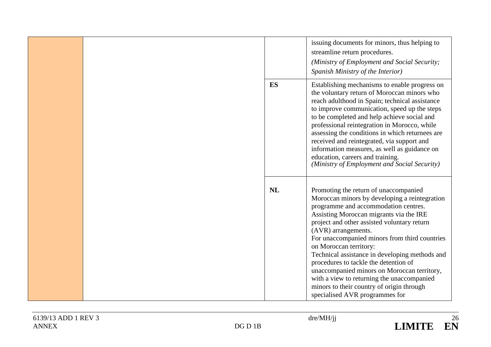|  |           | issuing documents for minors, thus helping to<br>streamline return procedures.<br>(Ministry of Employment and Social Security;<br>Spanish Ministry of the Interior)                                                                                                                                                                                                                                                                                                                                                                                                                               |
|--|-----------|---------------------------------------------------------------------------------------------------------------------------------------------------------------------------------------------------------------------------------------------------------------------------------------------------------------------------------------------------------------------------------------------------------------------------------------------------------------------------------------------------------------------------------------------------------------------------------------------------|
|  | ES        | Establishing mechanisms to enable progress on<br>the voluntary return of Moroccan minors who<br>reach adulthood in Spain; technical assistance<br>to improve communication, speed up the steps<br>to be completed and help achieve social and<br>professional reintegration in Morocco, while<br>assessing the conditions in which returnees are<br>received and reintegrated, via support and<br>information measures, as well as guidance on<br>education, careers and training.<br>(Ministry of Employment and Social Security)                                                                |
|  | <b>NL</b> | Promoting the return of unaccompanied<br>Moroccan minors by developing a reintegration<br>programme and accommodation centres.<br>Assisting Moroccan migrants via the IRE<br>project and other assisted voluntary return<br>(AVR) arrangements.<br>For unaccompanied minors from third countries<br>on Moroccan territory:<br>Technical assistance in developing methods and<br>procedures to tackle the detention of<br>unaccompanied minors on Moroccan territory,<br>with a view to returning the unaccompanied<br>minors to their country of origin through<br>specialised AVR programmes for |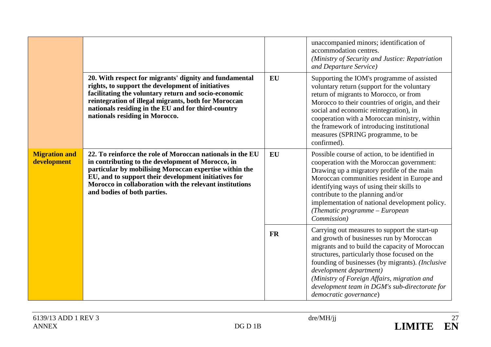| <b>Migration and</b><br>development |                                                                                                                                                                                                                                                                                                                            |           | unaccompanied minors; identification of<br>accommodation centres.<br>(Ministry of Security and Justice: Repatriation<br>and Departure Service)                                                                                                                                                                                                                                                        |
|-------------------------------------|----------------------------------------------------------------------------------------------------------------------------------------------------------------------------------------------------------------------------------------------------------------------------------------------------------------------------|-----------|-------------------------------------------------------------------------------------------------------------------------------------------------------------------------------------------------------------------------------------------------------------------------------------------------------------------------------------------------------------------------------------------------------|
|                                     | 20. With respect for migrants' dignity and fundamental<br>rights, to support the development of initiatives<br>facilitating the voluntary return and socio-economic<br>reintegration of illegal migrants, both for Moroccan<br>nationals residing in the EU and for third-country<br>nationals residing in Morocco.        | <b>EU</b> | Supporting the IOM's programme of assisted<br>voluntary return (support for the voluntary<br>return of migrants to Morocco, or from<br>Morocco to their countries of origin, and their<br>social and economic reintegration), in<br>cooperation with a Moroccan ministry, within<br>the framework of introducing institutional<br>measures (SPRING programme, to be<br>confirmed).                    |
|                                     | 22. To reinforce the role of Moroccan nationals in the EU<br>in contributing to the development of Morocco, in<br>particular by mobilising Moroccan expertise within the<br>EU, and to support their development initiatives for<br>Morocco in collaboration with the relevant institutions<br>and bodies of both parties. | EU        | Possible course of action, to be identified in<br>cooperation with the Moroccan government:<br>Drawing up a migratory profile of the main<br>Moroccan communities resident in Europe and<br>identifying ways of using their skills to<br>contribute to the planning and/or<br>implementation of national development policy.<br>(Thematic programme $-$ European<br>Commission)                       |
|                                     |                                                                                                                                                                                                                                                                                                                            | <b>FR</b> | Carrying out measures to support the start-up<br>and growth of businesses run by Moroccan<br>migrants and to build the capacity of Moroccan<br>structures, particularly those focused on the<br>founding of businesses (by migrants). (Inclusive<br>development department)<br>(Ministry of Foreign Affairs, migration and<br>development team in DGM's sub-directorate for<br>democratic governance) |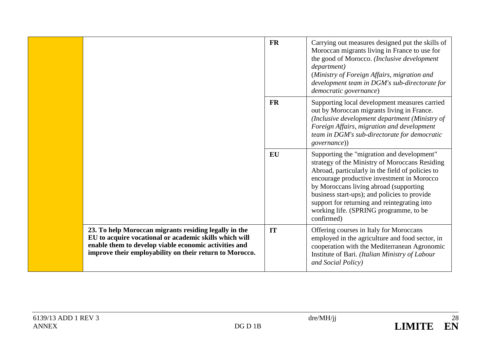|                                                                                                                                                                                                                                     | <b>FR</b> | Carrying out measures designed put the skills of<br>Moroccan migrants living in France to use for<br>the good of Morocco. (Inclusive development<br>department)<br>(Ministry of Foreign Affairs, migration and<br>development team in DGM's sub-directorate for<br>democratic governance)                                                                                                        |
|-------------------------------------------------------------------------------------------------------------------------------------------------------------------------------------------------------------------------------------|-----------|--------------------------------------------------------------------------------------------------------------------------------------------------------------------------------------------------------------------------------------------------------------------------------------------------------------------------------------------------------------------------------------------------|
|                                                                                                                                                                                                                                     | <b>FR</b> | Supporting local development measures carried<br>out by Moroccan migrants living in France.<br>(Inclusive development department (Ministry of<br>Foreign Affairs, migration and development<br>team in DGM's sub-directorate for democratic<br><i>governance</i> ))                                                                                                                              |
|                                                                                                                                                                                                                                     | <b>EU</b> | Supporting the "migration and development"<br>strategy of the Ministry of Moroccans Residing<br>Abroad, particularly in the field of policies to<br>encourage productive investment in Morocco<br>by Moroccans living abroad (supporting<br>business start-ups); and policies to provide<br>support for returning and reintegrating into<br>working life. (SPRING programme, to be<br>confirmed) |
| 23. To help Moroccan migrants residing legally in the<br>EU to acquire vocational or academic skills which will<br>enable them to develop viable economic activities and<br>improve their employability on their return to Morocco. | IT        | Offering courses in Italy for Moroccans<br>employed in the agriculture and food sector, in<br>cooperation with the Mediterranean Agronomic<br>Institute of Bari. (Italian Ministry of Labour<br>and Social Policy)                                                                                                                                                                               |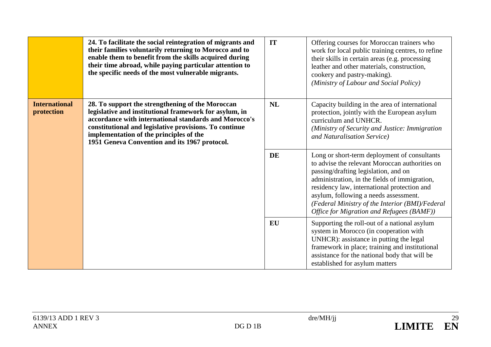|                                    | 24. To facilitate the social reintegration of migrants and<br>their families voluntarily returning to Morocco and to<br>enable them to benefit from the skills acquired during<br>their time abroad, while paying particular attention to<br>the specific needs of the most vulnerable migrants.                          | IT        | Offering courses for Moroccan trainers who<br>work for local public training centres, to refine<br>their skills in certain areas (e.g. processing<br>leather and other materials, construction,<br>cookery and pastry-making).<br>(Ministry of Labour and Social Policy)                                                                                                        |
|------------------------------------|---------------------------------------------------------------------------------------------------------------------------------------------------------------------------------------------------------------------------------------------------------------------------------------------------------------------------|-----------|---------------------------------------------------------------------------------------------------------------------------------------------------------------------------------------------------------------------------------------------------------------------------------------------------------------------------------------------------------------------------------|
| <b>International</b><br>protection | 28. To support the strengthening of the Moroccan<br>legislative and institutional framework for asylum, in<br>accordance with international standards and Morocco's<br>constitutional and legislative provisions. To continue<br>implementation of the principles of the<br>1951 Geneva Convention and its 1967 protocol. | <b>NL</b> | Capacity building in the area of international<br>protection, jointly with the European asylum<br>curriculum and UNHCR.<br>(Ministry of Security and Justice: Immigration<br>and Naturalisation Service)                                                                                                                                                                        |
|                                    |                                                                                                                                                                                                                                                                                                                           | DE        | Long or short-term deployment of consultants<br>to advise the relevant Moroccan authorities on<br>passing/drafting legislation, and on<br>administration, in the fields of immigration,<br>residency law, international protection and<br>asylum, following a needs assessment.<br>(Federal Ministry of the Interior (BMI)/Federal<br>Office for Migration and Refugees (BAMF)) |
|                                    |                                                                                                                                                                                                                                                                                                                           | EU        | Supporting the roll-out of a national asylum<br>system in Morocco (in cooperation with<br>UNHCR): assistance in putting the legal<br>framework in place; training and institutional<br>assistance for the national body that will be<br>established for asylum matters                                                                                                          |

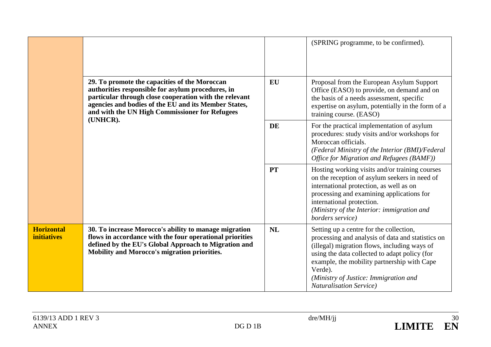|                                         |                                                                                                                                                                                                                                                                                    |           | (SPRING programme, to be confirmed).                                                                                                                                                                                                                                                                                                |
|-----------------------------------------|------------------------------------------------------------------------------------------------------------------------------------------------------------------------------------------------------------------------------------------------------------------------------------|-----------|-------------------------------------------------------------------------------------------------------------------------------------------------------------------------------------------------------------------------------------------------------------------------------------------------------------------------------------|
|                                         | 29. To promote the capacities of the Moroccan<br>authorities responsible for asylum procedures, in<br>particular through close cooperation with the relevant<br>agencies and bodies of the EU and its Member States,<br>and with the UN High Commissioner for Refugees<br>(UNHCR). | <b>EU</b> | Proposal from the European Asylum Support<br>Office (EASO) to provide, on demand and on<br>the basis of a needs assessment, specific<br>expertise on asylum, potentially in the form of a<br>training course. (EASO)                                                                                                                |
|                                         |                                                                                                                                                                                                                                                                                    | <b>DE</b> | For the practical implementation of asylum<br>procedures: study visits and/or workshops for<br>Moroccan officials.<br>(Federal Ministry of the Interior (BMI)/Federal<br>Office for Migration and Refugees (BAMF))                                                                                                                  |
|                                         |                                                                                                                                                                                                                                                                                    | <b>PT</b> | Hosting working visits and/or training courses<br>on the reception of asylum seekers in need of<br>international protection, as well as on<br>processing and examining applications for<br>international protection.<br>(Ministry of the Interior: immigration and<br>borders service)                                              |
| <b>Horizontal</b><br><b>initiatives</b> | 30. To increase Morocco's ability to manage migration<br>flows in accordance with the four operational priorities<br>defined by the EU's Global Approach to Migration and<br>Mobility and Morocco's migration priorities.                                                          | NL        | Setting up a centre for the collection,<br>processing and analysis of data and statistics on<br>(illegal) migration flows, including ways of<br>using the data collected to adapt policy (for<br>example, the mobility partnership with Cape<br>Verde).<br>(Ministry of Justice: Immigration and<br><b>Naturalisation Service</b> ) |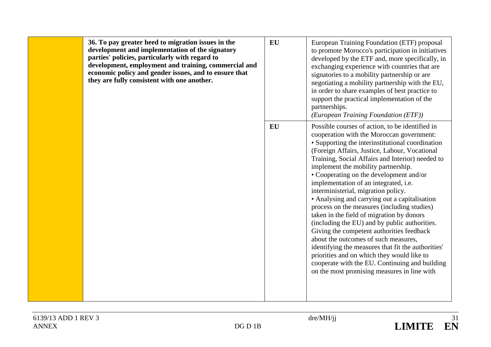| 36. To pay greater heed to migration issues in the<br>development and implementation of the signatory<br>parties' policies, particularly with regard to<br>development, employment and training, commercial and<br>economic policy and gender issues, and to ensure that<br>they are fully consistent with one another. | <b>EU</b> | European Training Foundation (ETF) proposal<br>to promote Morocco's participation in initiatives<br>developed by the ETF and, more specifically, in<br>exchanging experience with countries that are<br>signatories to a mobility partnership or are<br>negotiating a mobility partnership with the EU,<br>in order to share examples of best practice to<br>support the practical implementation of the<br>partnerships.<br>(European Training Foundation (ETF))                                                                                                                                                                                                                                                                                                                                                                                                                                               |
|-------------------------------------------------------------------------------------------------------------------------------------------------------------------------------------------------------------------------------------------------------------------------------------------------------------------------|-----------|-----------------------------------------------------------------------------------------------------------------------------------------------------------------------------------------------------------------------------------------------------------------------------------------------------------------------------------------------------------------------------------------------------------------------------------------------------------------------------------------------------------------------------------------------------------------------------------------------------------------------------------------------------------------------------------------------------------------------------------------------------------------------------------------------------------------------------------------------------------------------------------------------------------------|
|                                                                                                                                                                                                                                                                                                                         | <b>EU</b> | Possible courses of action, to be identified in<br>cooperation with the Moroccan government:<br>• Supporting the interinstitutional coordination<br>(Foreign Affairs, Justice, Labour, Vocational<br>Training, Social Affairs and Interior) needed to<br>implement the mobility partnership.<br>• Cooperating on the development and/or<br>implementation of an integrated, i.e.<br>interministerial, migration policy.<br>• Analysing and carrying out a capitalisation<br>process on the measures (including studies)<br>taken in the field of migration by donors<br>(including the EU) and by public authorities.<br>Giving the competent authorities feedback<br>about the outcomes of such measures,<br>identifying the measures that fit the authorities'<br>priorities and on which they would like to<br>cooperate with the EU. Continuing and building<br>on the most promising measures in line with |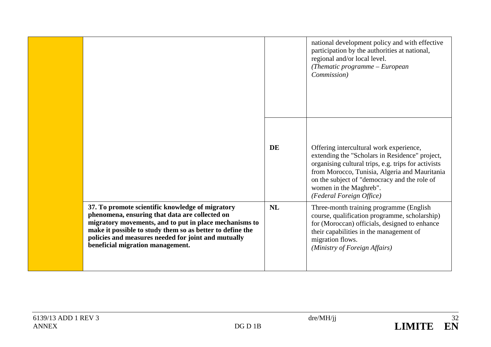|                                                                                                                                                                                                                                                                                                                      |           | national development policy and with effective<br>participation by the authorities at national,<br>regional and/or local level.<br>(Thematic programme - European<br>Commission)                                                                                                                        |
|----------------------------------------------------------------------------------------------------------------------------------------------------------------------------------------------------------------------------------------------------------------------------------------------------------------------|-----------|---------------------------------------------------------------------------------------------------------------------------------------------------------------------------------------------------------------------------------------------------------------------------------------------------------|
|                                                                                                                                                                                                                                                                                                                      | <b>DE</b> | Offering intercultural work experience,<br>extending the "Scholars in Residence" project,<br>organising cultural trips, e.g. trips for activists<br>from Morocco, Tunisia, Algeria and Mauritania<br>on the subject of "democracy and the role of<br>women in the Maghreb".<br>(Federal Foreign Office) |
| 37. To promote scientific knowledge of migratory<br>phenomena, ensuring that data are collected on<br>migratory movements, and to put in place mechanisms to<br>make it possible to study them so as better to define the<br>policies and measures needed for joint and mutually<br>beneficial migration management. | NL        | Three-month training programme (English<br>course, qualification programme, scholarship)<br>for (Moroccan) officials, designed to enhance<br>their capabilities in the management of<br>migration flows.<br>(Ministry of Foreign Affairs)                                                               |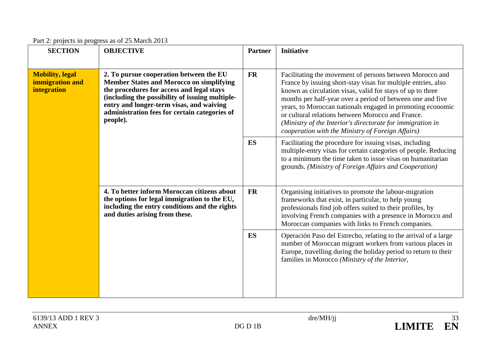|  | Part 2: projects in progress as of 25 March 2013 |  |
|--|--------------------------------------------------|--|
|  |                                                  |  |

| <b>SECTION</b>                                                        | <b>OBJECTIVE</b>                                                                                                                                                                                                                                                                        | <b>Partner</b> | <b>Initiative</b>                                                                                                                                                                                                                                                                                                                                                                                                                                                                           |
|-----------------------------------------------------------------------|-----------------------------------------------------------------------------------------------------------------------------------------------------------------------------------------------------------------------------------------------------------------------------------------|----------------|---------------------------------------------------------------------------------------------------------------------------------------------------------------------------------------------------------------------------------------------------------------------------------------------------------------------------------------------------------------------------------------------------------------------------------------------------------------------------------------------|
| <b>Mobility</b> , legal<br>immigration and<br>integration<br>people). | 2. To pursue cooperation between the EU<br><b>Member States and Morocco on simplifying</b><br>the procedures for access and legal stays<br>(including the possibility of issuing multiple-<br>entry and longer-term visas, and waiving<br>administration fees for certain categories of | <b>FR</b>      | Facilitating the movement of persons between Morocco and<br>France by issuing short-stay visas for multiple entries, also<br>known as circulation visas, valid for stays of up to three<br>months per half-year over a period of between one and five<br>years, to Moroccan nationals engaged in promoting economic<br>or cultural relations between Morocco and France.<br>(Ministry of the Interior's directorate for immigration in<br>cooperation with the Ministry of Foreign Affairs) |
|                                                                       |                                                                                                                                                                                                                                                                                         | ES             | Facilitating the procedure for issuing visas, including<br>multiple-entry visas for certain categories of people. Reducing<br>to a minimum the time taken to issue visas on humanitarian<br>grounds. (Ministry of Foreign Affairs and Cooperation)                                                                                                                                                                                                                                          |
|                                                                       | 4. To better inform Moroccan citizens about<br>the options for legal immigration to the EU,<br>including the entry conditions and the rights<br>and duties arising from these.                                                                                                          | <b>FR</b>      | Organising initiatives to promote the labour-migration<br>frameworks that exist, in particular, to help young<br>professionals find job offers suited to their profiles, by<br>involving French companies with a presence in Morocco and<br>Moroccan companies with links to French companies.                                                                                                                                                                                              |
|                                                                       |                                                                                                                                                                                                                                                                                         | ES             | Operación Paso del Estrecho, relating to the arrival of a large<br>number of Moroccan migrant workers from various places in<br>Europe, travelling during the holiday period to return to their<br>families in Morocco (Ministry of the Interior,                                                                                                                                                                                                                                           |

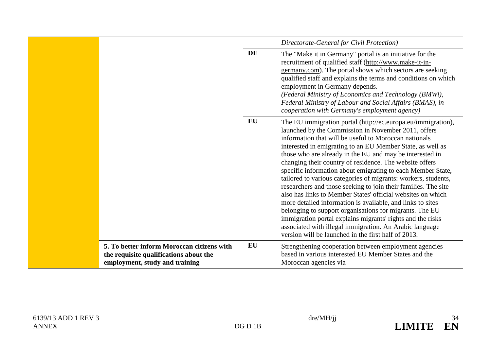|                                                                                                                        |    | Directorate-General for Civil Protection)                                                                                                                                                                                                                                                                                                                                                                                                                                                                                                                                                                                                                                                                                                                                                                                                                                                                                                    |
|------------------------------------------------------------------------------------------------------------------------|----|----------------------------------------------------------------------------------------------------------------------------------------------------------------------------------------------------------------------------------------------------------------------------------------------------------------------------------------------------------------------------------------------------------------------------------------------------------------------------------------------------------------------------------------------------------------------------------------------------------------------------------------------------------------------------------------------------------------------------------------------------------------------------------------------------------------------------------------------------------------------------------------------------------------------------------------------|
|                                                                                                                        | DE | The "Make it in Germany" portal is an initiative for the<br>recruitment of qualified staff (http://www.make-it-in-<br>germany.com). The portal shows which sectors are seeking<br>qualified staff and explains the terms and conditions on which<br>employment in Germany depends.<br>(Federal Ministry of Economics and Technology (BMWi),<br>Federal Ministry of Labour and Social Affairs (BMAS), in<br>cooperation with Germany's employment agency)                                                                                                                                                                                                                                                                                                                                                                                                                                                                                     |
|                                                                                                                        | EU | The EU immigration portal (http://ec.europa.eu/immigration),<br>launched by the Commission in November 2011, offers<br>information that will be useful to Moroccan nationals<br>interested in emigrating to an EU Member State, as well as<br>those who are already in the EU and may be interested in<br>changing their country of residence. The website offers<br>specific information about emigrating to each Member State,<br>tailored to various categories of migrants: workers, students,<br>researchers and those seeking to join their families. The site<br>also has links to Member States' official websites on which<br>more detailed information is available, and links to sites<br>belonging to support organisations for migrants. The EU<br>immigration portal explains migrants' rights and the risks<br>associated with illegal immigration. An Arabic language<br>version will be launched in the first half of 2013. |
| 5. To better inform Moroccan citizens with<br>the requisite qualifications about the<br>employment, study and training | EU | Strengthening cooperation between employment agencies<br>based in various interested EU Member States and the<br>Moroccan agencies via                                                                                                                                                                                                                                                                                                                                                                                                                                                                                                                                                                                                                                                                                                                                                                                                       |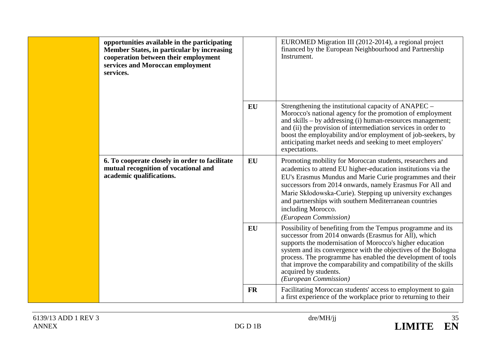| opportunities available in the participating<br><b>Member States, in particular by increasing</b><br>cooperation between their employment<br>services and Moroccan employment<br>services. |           | EUROMED Migration III (2012-2014), a regional project<br>financed by the European Neighbourhood and Partnership<br>Instrument.                                                                                                                                                                                                                                                                                                      |
|--------------------------------------------------------------------------------------------------------------------------------------------------------------------------------------------|-----------|-------------------------------------------------------------------------------------------------------------------------------------------------------------------------------------------------------------------------------------------------------------------------------------------------------------------------------------------------------------------------------------------------------------------------------------|
|                                                                                                                                                                                            | EU        | Strengthening the institutional capacity of ANAPEC –<br>Morocco's national agency for the promotion of employment<br>and skills – by addressing (i) human-resources management;<br>and (ii) the provision of intermediation services in order to<br>boost the employability and/or employment of job-seekers, by<br>anticipating market needs and seeking to meet employers'<br>expectations.                                       |
| 6. To cooperate closely in order to facilitate<br>mutual recognition of vocational and<br>academic qualifications.                                                                         | EU        | Promoting mobility for Moroccan students, researchers and<br>academics to attend EU higher-education institutions via the<br>EU's Erasmus Mundus and Marie Curie programmes and their<br>successors from 2014 onwards, namely Erasmus For All and<br>Marie Skłodowska-Curie). Stepping up university exchanges<br>and partnerships with southern Mediterranean countries<br>including Morocco.<br>(European Commission)             |
|                                                                                                                                                                                            | EU        | Possibility of benefiting from the Tempus programme and its<br>successor from 2014 onwards (Erasmus for All), which<br>supports the modernisation of Morocco's higher education<br>system and its convergence with the objectives of the Bologna<br>process. The programme has enabled the development of tools<br>that improve the comparability and compatibility of the skills<br>acquired by students.<br>(European Commission) |
|                                                                                                                                                                                            | <b>FR</b> | Facilitating Moroccan students' access to employment to gain<br>a first experience of the workplace prior to returning to their                                                                                                                                                                                                                                                                                                     |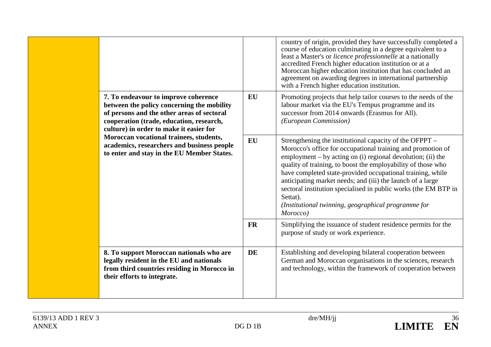|  |                                                                                                                                                                                                                                                                                                                                                                |           | country of origin, provided they have successfully completed a<br>course of education culminating in a degree equivalent to a<br>least a Master's or licence professionnelle at a nationally<br>accredited French higher education institution or at a<br>Moroccan higher education institution that has concluded an<br>agreement on awarding degrees in international partnership<br>with a French higher education institution.                                                                                                  |
|--|----------------------------------------------------------------------------------------------------------------------------------------------------------------------------------------------------------------------------------------------------------------------------------------------------------------------------------------------------------------|-----------|-------------------------------------------------------------------------------------------------------------------------------------------------------------------------------------------------------------------------------------------------------------------------------------------------------------------------------------------------------------------------------------------------------------------------------------------------------------------------------------------------------------------------------------|
|  | 7. To endeavour to improve coherence<br>between the policy concerning the mobility<br>of persons and the other areas of sectoral<br>cooperation (trade, education, research,<br>culture) in order to make it easier for<br>Moroccan vocational trainees, students,<br>academics, researchers and business people<br>to enter and stay in the EU Member States. | EU        | Promoting projects that help tailor courses to the needs of the<br>labour market via the EU's Tempus programme and its<br>successor from 2014 onwards (Erasmus for All).<br>(European Commission)                                                                                                                                                                                                                                                                                                                                   |
|  |                                                                                                                                                                                                                                                                                                                                                                | <b>EU</b> | Strengthening the institutional capacity of the OFPPT -<br>Morocco's office for occupational training and promotion of<br>employment – by acting on (i) regional devolution; (ii) the<br>quality of training, to boost the employability of those who<br>have completed state-provided occupational training, while<br>anticipating market needs; and (iii) the launch of a large<br>sectoral institution specialised in public works (the EM BTP in<br>Settat).<br>(Institutional twinning, geographical programme for<br>Morocco) |
|  |                                                                                                                                                                                                                                                                                                                                                                | <b>FR</b> | Simplifying the issuance of student residence permits for the<br>purpose of study or work experience.                                                                                                                                                                                                                                                                                                                                                                                                                               |
|  | 8. To support Moroccan nationals who are<br>legally resident in the EU and nationals<br>from third countries residing in Morocco in<br>their efforts to integrate.                                                                                                                                                                                             | <b>DE</b> | Establishing and developing bilateral cooperation between<br>German and Moroccan organisations in the sciences, research<br>and technology, within the framework of cooperation between                                                                                                                                                                                                                                                                                                                                             |

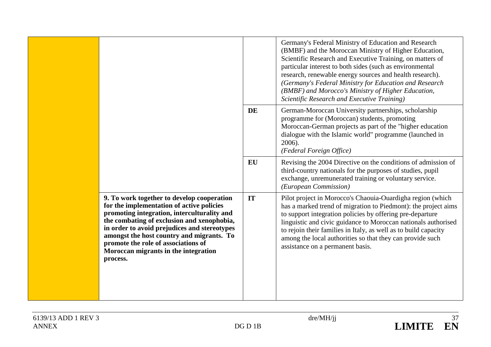|                                                                                                                                                                                                                                                                                                                                                                              |    | Germany's Federal Ministry of Education and Research<br>(BMBF) and the Moroccan Ministry of Higher Education,<br>Scientific Research and Executive Training, on matters of<br>particular interest to both sides (such as environmental<br>research, renewable energy sources and health research).<br>(Germany's Federal Ministry for Education and Research<br>(BMBF) and Morocco's Ministry of Higher Education,<br>Scientific Research and Executive Training) |
|------------------------------------------------------------------------------------------------------------------------------------------------------------------------------------------------------------------------------------------------------------------------------------------------------------------------------------------------------------------------------|----|-------------------------------------------------------------------------------------------------------------------------------------------------------------------------------------------------------------------------------------------------------------------------------------------------------------------------------------------------------------------------------------------------------------------------------------------------------------------|
|                                                                                                                                                                                                                                                                                                                                                                              | DE | German-Moroccan University partnerships, scholarship<br>programme for (Moroccan) students, promoting<br>Moroccan-German projects as part of the "higher education<br>dialogue with the Islamic world" programme (launched in<br>2006).<br>(Federal Foreign Office)                                                                                                                                                                                                |
|                                                                                                                                                                                                                                                                                                                                                                              | EU | Revising the 2004 Directive on the conditions of admission of<br>third-country nationals for the purposes of studies, pupil<br>exchange, unremunerated training or voluntary service.<br>(European Commission)                                                                                                                                                                                                                                                    |
| 9. To work together to develop cooperation<br>for the implementation of active policies<br>promoting integration, interculturality and<br>the combating of exclusion and xenophobia,<br>in order to avoid prejudices and stereotypes<br>amongst the host country and migrants. To<br>promote the role of associations of<br>Moroccan migrants in the integration<br>process. | IT | Pilot project in Morocco's Chaouia-Ouardigha region (which<br>has a marked trend of migration to Piedmont): the project aims<br>to support integration policies by offering pre-departure<br>linguistic and civic guidance to Moroccan nationals authorised<br>to rejoin their families in Italy, as well as to build capacity<br>among the local authorities so that they can provide such<br>assistance on a permanent basis.                                   |

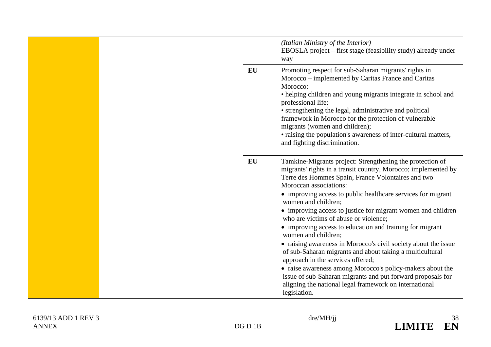|  |           | (Italian Ministry of the Interior)<br>EBOSLA project – first stage (feasibility study) already under<br>way                                                                                                                                                                                                                                                                                                                                                                                                                                                                                                                                                                                                                                                                                                                                                             |
|--|-----------|-------------------------------------------------------------------------------------------------------------------------------------------------------------------------------------------------------------------------------------------------------------------------------------------------------------------------------------------------------------------------------------------------------------------------------------------------------------------------------------------------------------------------------------------------------------------------------------------------------------------------------------------------------------------------------------------------------------------------------------------------------------------------------------------------------------------------------------------------------------------------|
|  | EU        | Promoting respect for sub-Saharan migrants' rights in<br>Morocco - implemented by Caritas France and Caritas<br>Morocco:<br>• helping children and young migrants integrate in school and<br>professional life;<br>• strengthening the legal, administrative and political<br>framework in Morocco for the protection of vulnerable<br>migrants (women and children);<br>• raising the population's awareness of inter-cultural matters,<br>and fighting discrimination.                                                                                                                                                                                                                                                                                                                                                                                                |
|  | <b>EU</b> | Tamkine-Migrants project: Strengthening the protection of<br>migrants' rights in a transit country, Morocco; implemented by<br>Terre des Hommes Spain, France Volontaires and two<br>Moroccan associations:<br>• improving access to public healthcare services for migrant<br>women and children;<br>• improving access to justice for migrant women and children<br>who are victims of abuse or violence;<br>• improving access to education and training for migrant<br>women and children;<br>• raising awareness in Morocco's civil society about the issue<br>of sub-Saharan migrants and about taking a multicultural<br>approach in the services offered;<br>• raise awareness among Morocco's policy-makers about the<br>issue of sub-Saharan migrants and put forward proposals for<br>aligning the national legal framework on international<br>legislation. |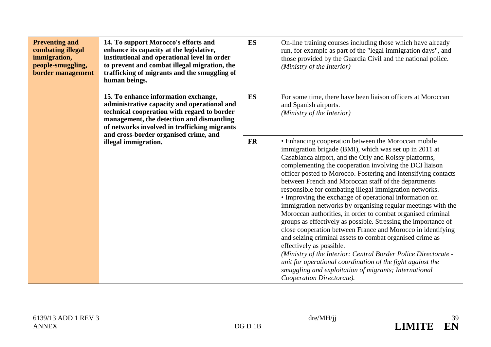| <b>Preventing and</b><br>combating illegal<br>immigration,<br>people-smuggling,<br>border management | 14. To support Morocco's efforts and<br>enhance its capacity at the legislative,<br>institutional and operational level in order<br>to prevent and combat illegal migration, the<br>trafficking of migrants and the smuggling of<br>human beings. | ES                                                                                                                                                                                                                                                                                                                                                                                                                                                                                                                                                                                                                                                                                                                                                                                                                                                                                                                                                                                                                                                              | On-line training courses including those which have already<br>run, for example as part of the "legal immigration days", and<br>those provided by the Guardia Civil and the national police.<br>(Ministry of the Interior) |
|------------------------------------------------------------------------------------------------------|---------------------------------------------------------------------------------------------------------------------------------------------------------------------------------------------------------------------------------------------------|-----------------------------------------------------------------------------------------------------------------------------------------------------------------------------------------------------------------------------------------------------------------------------------------------------------------------------------------------------------------------------------------------------------------------------------------------------------------------------------------------------------------------------------------------------------------------------------------------------------------------------------------------------------------------------------------------------------------------------------------------------------------------------------------------------------------------------------------------------------------------------------------------------------------------------------------------------------------------------------------------------------------------------------------------------------------|----------------------------------------------------------------------------------------------------------------------------------------------------------------------------------------------------------------------------|
|                                                                                                      | 15. To enhance information exchange,<br>administrative capacity and operational and<br>technical cooperation with regard to border<br>management, the detection and dismantling<br>of networks involved in trafficking migrants                   | <b>ES</b>                                                                                                                                                                                                                                                                                                                                                                                                                                                                                                                                                                                                                                                                                                                                                                                                                                                                                                                                                                                                                                                       | For some time, there have been liaison officers at Moroccan<br>and Spanish airports.<br>(Ministry of the Interior)                                                                                                         |
| and cross-border organised crime, and<br>illegal immigration.                                        | <b>FR</b>                                                                                                                                                                                                                                         | • Enhancing cooperation between the Moroccan mobile<br>immigration brigade (BMI), which was set up in 2011 at<br>Casablanca airport, and the Orly and Roissy platforms,<br>complementing the cooperation involving the DCI liaison<br>officer posted to Morocco. Fostering and intensifying contacts<br>between French and Moroccan staff of the departments<br>responsible for combating illegal immigration networks.<br>• Improving the exchange of operational information on<br>immigration networks by organising regular meetings with the<br>Moroccan authorities, in order to combat organised criminal<br>groups as effectively as possible. Stressing the importance of<br>close cooperation between France and Morocco in identifying<br>and seizing criminal assets to combat organised crime as<br>effectively as possible.<br>(Ministry of the Interior: Central Border Police Directorate -<br>unit for operational coordination of the fight against the<br>smuggling and exploitation of migrants; International<br>Cooperation Directorate). |                                                                                                                                                                                                                            |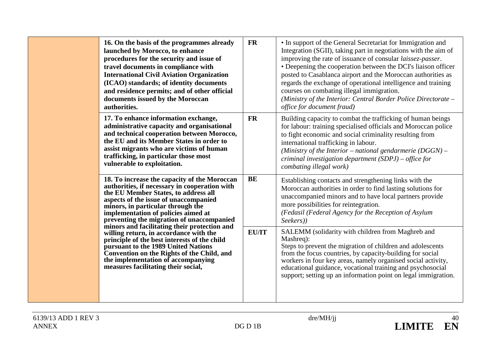|  | 16. On the basis of the programmes already<br>launched by Morocco, to enhance<br>procedures for the security and issue of<br>travel documents in compliance with<br><b>International Civil Aviation Organization</b><br>(ICAO) standards; of identity documents<br>and residence permits; and of other official<br>documents issued by the Moroccan<br>authorities.                                                                                                                                                                                                                                                 | <b>FR</b>    | • In support of the General Secretariat for Immigration and<br>Integration (SGII), taking part in negotiations with the aim of<br>improving the rate of issuance of consular <i>laissez-passer</i> .<br>• Deepening the cooperation between the DCI's liaison officer<br>posted to Casablanca airport and the Moroccan authorities as<br>regards the exchange of operational intelligence and training<br>courses on combating illegal immigration.<br>(Ministry of the Interior: Central Border Police Directorate -<br>office for document fraud) |
|--|---------------------------------------------------------------------------------------------------------------------------------------------------------------------------------------------------------------------------------------------------------------------------------------------------------------------------------------------------------------------------------------------------------------------------------------------------------------------------------------------------------------------------------------------------------------------------------------------------------------------|--------------|-----------------------------------------------------------------------------------------------------------------------------------------------------------------------------------------------------------------------------------------------------------------------------------------------------------------------------------------------------------------------------------------------------------------------------------------------------------------------------------------------------------------------------------------------------|
|  | 17. To enhance information exchange,<br>administrative capacity and organisational<br>and technical cooperation between Morocco,<br>the EU and its Member States in order to<br>assist migrants who are victims of human<br>trafficking, in particular those most<br>vulnerable to exploitation.                                                                                                                                                                                                                                                                                                                    | <b>FR</b>    | Building capacity to combat the trafficking of human beings<br>for labour: training specialised officials and Moroccan police<br>to fight economic and social criminality resulting from<br>international trafficking in labour.<br>(Ministry of the Interior – national gendarmerie $(DGGN)$ –<br>criminal investigation department $(SDPJ)$ – office for<br>combating illegal work)                                                                                                                                                               |
|  | 18. To increase the capacity of the Moroccan<br>authorities, if necessary in cooperation with<br>the EU Member States, to address all<br>aspects of the issue of unaccompanied<br>minors, in particular through the<br>implementation of policies aimed at<br>preventing the migration of unaccompanied<br>minors and facilitating their protection and<br>willing return, in accordance with the<br>principle of the best interests of the child<br>pursuant to the 1989 United Nations<br>Convention on the Rights of the Child, and<br>the implementation of accompanying<br>measures facilitating their social, | <b>BE</b>    | Establishing contacts and strengthening links with the<br>Moroccan authorities in order to find lasting solutions for<br>unaccompanied minors and to have local partners provide<br>more possibilities for reintegration.<br>(Fedasil (Federal Agency for the Reception of Asylum<br>Seekers))                                                                                                                                                                                                                                                      |
|  |                                                                                                                                                                                                                                                                                                                                                                                                                                                                                                                                                                                                                     | <b>EU/IT</b> | SALEMM (solidarity with children from Maghreb and<br>Mashreq):<br>Steps to prevent the migration of children and adolescents<br>from the focus countries, by capacity-building for social<br>workers in four key areas, namely organised social activity,<br>educational guidance, vocational training and psychosocial<br>support; setting up an information point on legal immigration.                                                                                                                                                           |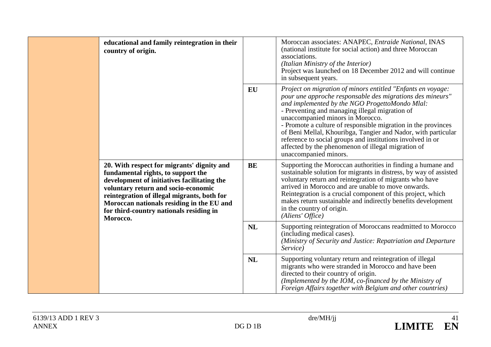| educational and family reintegration in their<br>country of origin.                                                                                                                                                                                                                                                       |           | Moroccan associates: ANAPEC, Entraide National, INAS<br>(national institute for social action) and three Moroccan<br>associations.<br>(Italian Ministry of the Interior)<br>Project was launched on 18 December 2012 and will continue<br>in subsequent years.                                                                                                                                                                                                                                                                                  |
|---------------------------------------------------------------------------------------------------------------------------------------------------------------------------------------------------------------------------------------------------------------------------------------------------------------------------|-----------|-------------------------------------------------------------------------------------------------------------------------------------------------------------------------------------------------------------------------------------------------------------------------------------------------------------------------------------------------------------------------------------------------------------------------------------------------------------------------------------------------------------------------------------------------|
|                                                                                                                                                                                                                                                                                                                           | <b>EU</b> | Project on migration of minors entitled "Enfants en voyage:<br>pour une approche responsable des migrations des mineurs"<br>and implemented by the NGO ProgettoMondo Mlal:<br>- Preventing and managing illegal migration of<br>unaccompanied minors in Morocco.<br>- Promote a culture of responsible migration in the provinces<br>of Beni Mellal, Khouribga, Tangier and Nador, with particular<br>reference to social groups and institutions involved in or<br>affected by the phenomenon of illegal migration of<br>unaccompanied minors. |
| 20. With respect for migrants' dignity and<br>fundamental rights, to support the<br>development of initiatives facilitating the<br>voluntary return and socio-economic<br>reintegration of illegal migrants, both for<br>Moroccan nationals residing in the EU and<br>for third-country nationals residing in<br>Morocco. | <b>BE</b> | Supporting the Moroccan authorities in finding a humane and<br>sustainable solution for migrants in distress, by way of assisted<br>voluntary return and reintegration of migrants who have<br>arrived in Morocco and are unable to move onwards.<br>Reintegration is a crucial component of this project, which<br>makes return sustainable and indirectly benefits development<br>in the country of origin.<br>(Aliens' Office)                                                                                                               |
|                                                                                                                                                                                                                                                                                                                           | <b>NL</b> | Supporting reintegration of Moroccans readmitted to Morocco<br>(including medical cases).<br>(Ministry of Security and Justice: Repatriation and Departure<br>Service)                                                                                                                                                                                                                                                                                                                                                                          |
|                                                                                                                                                                                                                                                                                                                           | <b>NL</b> | Supporting voluntary return and reintegration of illegal<br>migrants who were stranded in Morocco and have been<br>directed to their country of origin.<br>(Implemented by the IOM, co-financed by the Ministry of<br>Foreign Affairs together with Belgium and other countries)                                                                                                                                                                                                                                                                |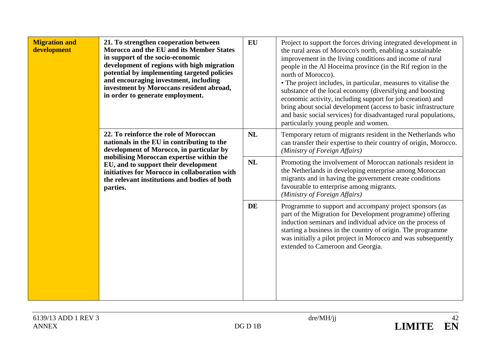| <b>Migration and</b><br>development                                                                                                                                                                                                                                                                                              | 21. To strengthen cooperation between<br>Morocco and the EU and its Member States<br>in support of the socio-economic<br>development of regions with high migration<br>potential by implementing targeted policies<br>and encouraging investment, including<br>investment by Moroccans resident abroad,<br>in order to generate employment. | <b>EU</b>                                                                                                                                                                                                                                                      | Project to support the forces driving integrated development in<br>the rural areas of Morocco's north, enabling a sustainable<br>improvement in the living conditions and income of rural<br>people in the Al Hoceima province (in the Rif region in the<br>north of Morocco).<br>• The project includes, in particular, measures to vitalise the<br>substance of the local economy (diversifying and boosting<br>economic activity, including support for job creation) and<br>bring about social development (access to basic infrastructure<br>and basic social services) for disadvantaged rural populations,<br>particularly young people and women. |
|----------------------------------------------------------------------------------------------------------------------------------------------------------------------------------------------------------------------------------------------------------------------------------------------------------------------------------|---------------------------------------------------------------------------------------------------------------------------------------------------------------------------------------------------------------------------------------------------------------------------------------------------------------------------------------------|----------------------------------------------------------------------------------------------------------------------------------------------------------------------------------------------------------------------------------------------------------------|-----------------------------------------------------------------------------------------------------------------------------------------------------------------------------------------------------------------------------------------------------------------------------------------------------------------------------------------------------------------------------------------------------------------------------------------------------------------------------------------------------------------------------------------------------------------------------------------------------------------------------------------------------------|
| 22. To reinforce the role of Moroccan<br>nationals in the EU in contributing to the<br>development of Morocco, in particular by<br>mobilising Moroccan expertise within the<br>EU, and to support their development<br>initiatives for Morocco in collaboration with<br>the relevant institutions and bodies of both<br>parties. | <b>NL</b>                                                                                                                                                                                                                                                                                                                                   | Temporary return of migrants resident in the Netherlands who<br>can transfer their expertise to their country of origin, Morocco.<br>(Ministry of Foreign Affairs)                                                                                             |                                                                                                                                                                                                                                                                                                                                                                                                                                                                                                                                                                                                                                                           |
|                                                                                                                                                                                                                                                                                                                                  | <b>NL</b>                                                                                                                                                                                                                                                                                                                                   | Promoting the involvement of Moroccan nationals resident in<br>the Netherlands in developing enterprise among Moroccan<br>migrants and in having the government create conditions<br>favourable to enterprise among migrants.<br>(Ministry of Foreign Affairs) |                                                                                                                                                                                                                                                                                                                                                                                                                                                                                                                                                                                                                                                           |
|                                                                                                                                                                                                                                                                                                                                  |                                                                                                                                                                                                                                                                                                                                             | DE                                                                                                                                                                                                                                                             | Programme to support and accompany project sponsors (as<br>part of the Migration for Development programme) offering<br>induction seminars and individual advice on the process of<br>starting a business in the country of origin. The programme<br>was initially a pilot project in Morocco and was subsequently<br>extended to Cameroon and Georgia.                                                                                                                                                                                                                                                                                                   |

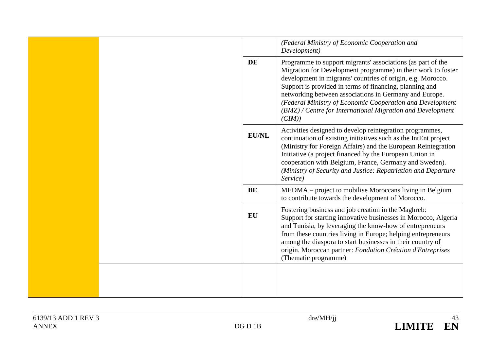|  |              | (Federal Ministry of Economic Cooperation and<br>Development)                                                                                                                                                                                                                                                                                                                                                                                        |  |
|--|--------------|------------------------------------------------------------------------------------------------------------------------------------------------------------------------------------------------------------------------------------------------------------------------------------------------------------------------------------------------------------------------------------------------------------------------------------------------------|--|
|  | <b>DE</b>    | Programme to support migrants' associations (as part of the<br>Migration for Development programme) in their work to foster<br>development in migrants' countries of origin, e.g. Morocco.<br>Support is provided in terms of financing, planning and<br>networking between associations in Germany and Europe.<br>(Federal Ministry of Economic Cooperation and Development<br>(BMZ) / Centre for International Migration and Development<br>(CIM)) |  |
|  | <b>EU/NL</b> | Activities designed to develop reintegration programmes,<br>continuation of existing initiatives such as the IntEnt project<br>(Ministry for Foreign Affairs) and the European Reintegration<br>Initiative (a project financed by the European Union in<br>cooperation with Belgium, France, Germany and Sweden).<br>(Ministry of Security and Justice: Repatriation and Departure<br>Service)                                                       |  |
|  | BE           | MEDMA – project to mobilise Moroccans living in Belgium<br>to contribute towards the development of Morocco.                                                                                                                                                                                                                                                                                                                                         |  |
|  | EU           | Fostering business and job creation in the Maghreb:<br>Support for starting innovative businesses in Morocco, Algeria<br>and Tunisia, by leveraging the know-how of entrepreneurs<br>from these countries living in Europe; helping entrepreneurs<br>among the diaspora to start businesses in their country of<br>origin. Moroccan partner: Fondation Création d'Entreprises<br>(Thematic programme)                                                |  |
|  |              |                                                                                                                                                                                                                                                                                                                                                                                                                                                      |  |

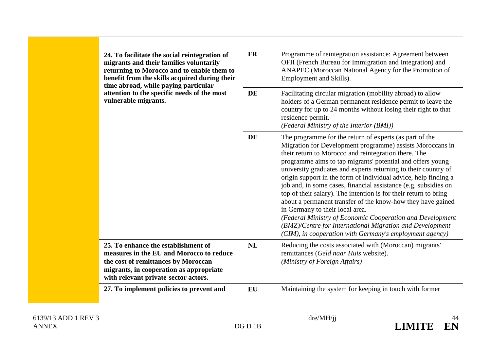| 24. To facilitate the social reintegration of<br>migrants and their families voluntarily<br>returning to Morocco and to enable them to<br>benefit from the skills acquired during their<br>time abroad, while paying particular | <b>FR</b> | Programme of reintegration assistance: Agreement between<br>OFII (French Bureau for Immigration and Integration) and<br>ANAPEC (Moroccan National Agency for the Promotion of<br>Employment and Skills).                                                                                                                                                                                                                                                                                                                                                                                                                                                                                                                                                                                                     |
|---------------------------------------------------------------------------------------------------------------------------------------------------------------------------------------------------------------------------------|-----------|--------------------------------------------------------------------------------------------------------------------------------------------------------------------------------------------------------------------------------------------------------------------------------------------------------------------------------------------------------------------------------------------------------------------------------------------------------------------------------------------------------------------------------------------------------------------------------------------------------------------------------------------------------------------------------------------------------------------------------------------------------------------------------------------------------------|
| attention to the specific needs of the most<br>vulnerable migrants.                                                                                                                                                             | <b>DE</b> | Facilitating circular migration (mobility abroad) to allow<br>holders of a German permanent residence permit to leave the<br>country for up to 24 months without losing their right to that<br>residence permit.<br>(Federal Ministry of the Interior (BMI))                                                                                                                                                                                                                                                                                                                                                                                                                                                                                                                                                 |
|                                                                                                                                                                                                                                 | <b>DE</b> | The programme for the return of experts (as part of the<br>Migration for Development programme) assists Moroccans in<br>their return to Morocco and reintegration there. The<br>programme aims to tap migrants' potential and offers young<br>university graduates and experts returning to their country of<br>origin support in the form of individual advice, help finding a<br>job and, in some cases, financial assistance (e.g. subsidies on<br>top of their salary). The intention is for their return to bring<br>about a permanent transfer of the know-how they have gained<br>in Germany to their local area.<br>(Federal Ministry of Economic Cooperation and Development<br>(BMZ)/Centre for International Migration and Development<br>(CIM), in cooperation with Germany's employment agency) |
| 25. To enhance the establishment of<br>measures in the EU and Morocco to reduce<br>the cost of remittances by Moroccan<br>migrants, in cooperation as appropriate<br>with relevant private-sector actors.                       | <b>NL</b> | Reducing the costs associated with (Moroccan) migrants'<br>remittances (Geld naar Huis website).<br>(Ministry of Foreign Affairs)                                                                                                                                                                                                                                                                                                                                                                                                                                                                                                                                                                                                                                                                            |
| 27. To implement policies to prevent and                                                                                                                                                                                        | <b>EU</b> | Maintaining the system for keeping in touch with former                                                                                                                                                                                                                                                                                                                                                                                                                                                                                                                                                                                                                                                                                                                                                      |